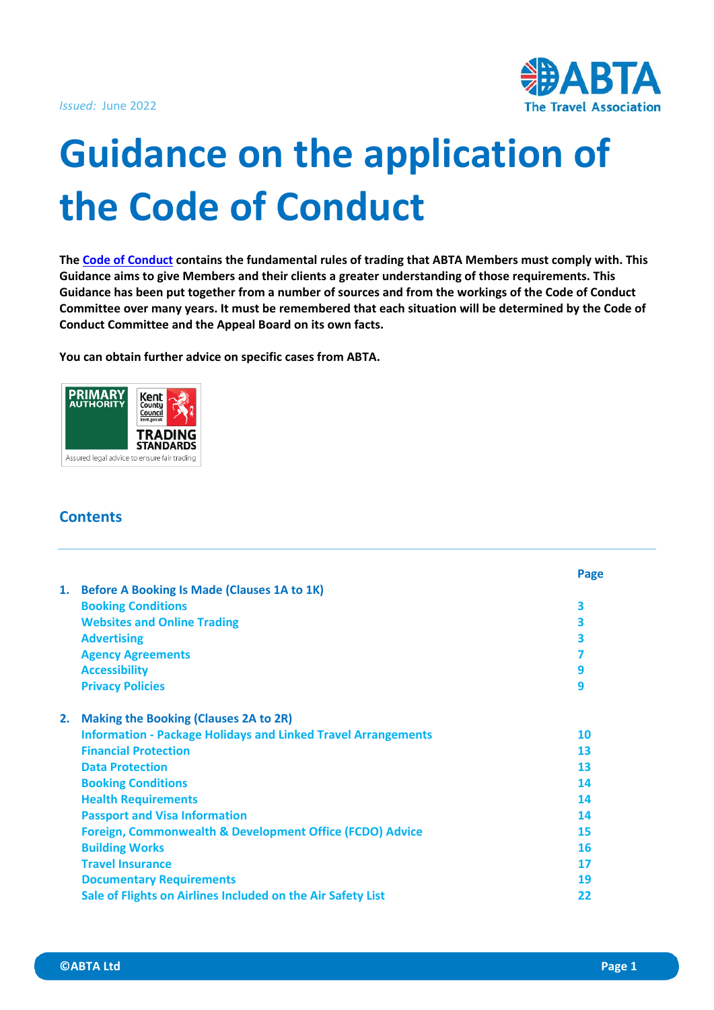*Issued:* June 2022



# **Guidance on the application of the Code of Conduct**

**The [Code of Conduct](https://abta.com/about-us/code-of-conduct) contains the fundamental rules of trading that ABTA Members must comply with. This Guidance aims to give Members and their clients a greater understanding of those requirements. This Guidance has been put together from a number of sources and from the workings of the Code of Conduct Committee over many years. It must be remembered that each situation will be determined by the Code of Conduct Committee and the Appeal Board on its own facts.**

**You can obtain further advice on specific cases from ABTA.**



### **Contents**

|    |                                                                      | Page |
|----|----------------------------------------------------------------------|------|
| 1. | <b>Before A Booking Is Made (Clauses 1A to 1K)</b>                   |      |
|    | <b>Booking Conditions</b>                                            | 3    |
|    | <b>Websites and Online Trading</b>                                   | 3    |
|    | <b>Advertising</b>                                                   | 3    |
|    | <b>Agency Agreements</b>                                             | 7    |
|    | <b>Accessibility</b>                                                 | 9    |
|    | <b>Privacy Policies</b>                                              | 9    |
| 2. | <b>Making the Booking (Clauses 2A to 2R)</b>                         |      |
|    | <b>Information - Package Holidays and Linked Travel Arrangements</b> | 10   |
|    | <b>Financial Protection</b>                                          | 13   |
|    | <b>Data Protection</b>                                               | 13   |
|    | <b>Booking Conditions</b>                                            | 14   |
|    | <b>Health Requirements</b>                                           | 14   |
|    | <b>Passport and Visa Information</b>                                 | 14   |
|    | Foreign, Commonwealth & Development Office (FCDO) Advice             | 15   |
|    | <b>Building Works</b>                                                | 16   |
|    | <b>Travel Insurance</b>                                              | 17   |
|    | <b>Documentary Requirements</b>                                      | 19   |
|    | Sale of Flights on Airlines Included on the Air Safety List          | 22   |
|    |                                                                      |      |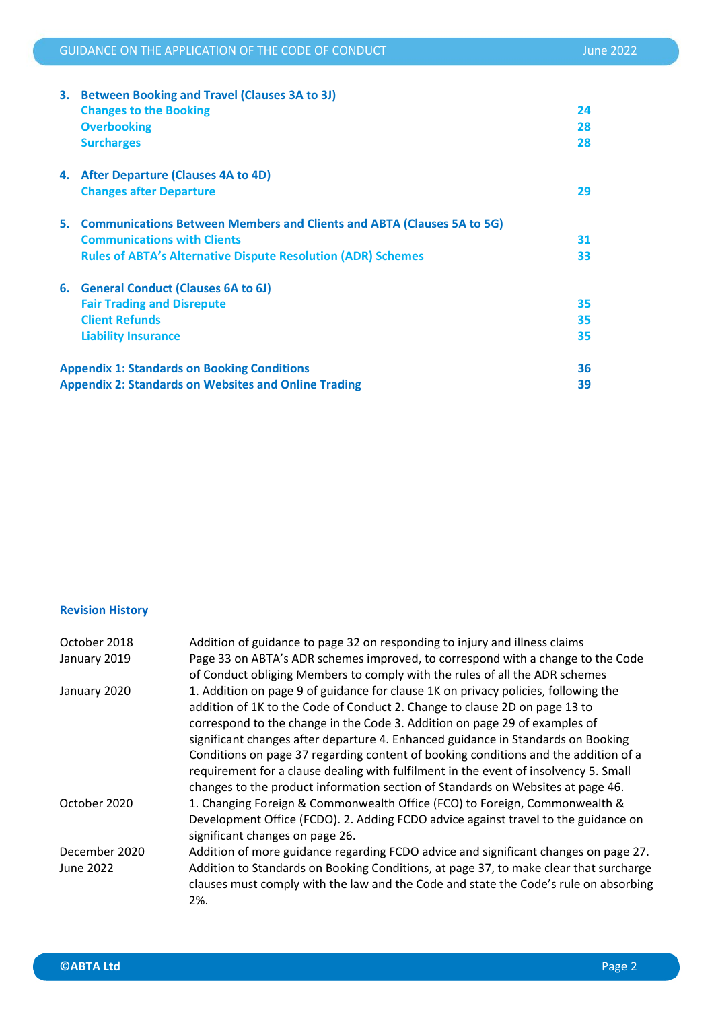| 3. | <b>Between Booking and Travel (Clauses 3A to 3J)</b>                      |    |
|----|---------------------------------------------------------------------------|----|
|    | <b>Changes to the Booking</b>                                             | 24 |
|    | <b>Overbooking</b>                                                        | 28 |
|    | <b>Surcharges</b>                                                         | 28 |
|    | 4. After Departure (Clauses 4A to 4D)                                     |    |
|    | <b>Changes after Departure</b>                                            | 29 |
|    | 5. Communications Between Members and Clients and ABTA (Clauses 5A to 5G) |    |
|    | <b>Communications with Clients</b>                                        | 31 |
|    | <b>Rules of ABTA's Alternative Dispute Resolution (ADR) Schemes</b>       | 33 |
| 6. | <b>General Conduct (Clauses 6A to 6J)</b>                                 |    |
|    | <b>Fair Trading and Disrepute</b>                                         | 35 |
|    | <b>Client Refunds</b>                                                     | 35 |
|    | <b>Liability Insurance</b>                                                | 35 |
|    | <b>Appendix 1: Standards on Booking Conditions</b>                        | 36 |
|    | <b>Appendix 2: Standards on Websites and Online Trading</b>               | 39 |

GUIDANCE ON THE APPLICATION OF THE CODE OF CONDUCT **Supplier and COVID-100 and COVID-100** June 2022

#### **Revision History**

| October 2018  | Addition of guidance to page 32 on responding to injury and illness claims                                                                                                  |
|---------------|-----------------------------------------------------------------------------------------------------------------------------------------------------------------------------|
| January 2019  | Page 33 on ABTA's ADR schemes improved, to correspond with a change to the Code<br>of Conduct obliging Members to comply with the rules of all the ADR schemes              |
| January 2020  | 1. Addition on page 9 of guidance for clause 1K on privacy policies, following the                                                                                          |
|               | addition of 1K to the Code of Conduct 2. Change to clause 2D on page 13 to                                                                                                  |
|               | correspond to the change in the Code 3. Addition on page 29 of examples of                                                                                                  |
|               | significant changes after departure 4. Enhanced guidance in Standards on Booking                                                                                            |
|               | Conditions on page 37 regarding content of booking conditions and the addition of a<br>requirement for a clause dealing with fulfilment in the event of insolvency 5. Small |
|               | changes to the product information section of Standards on Websites at page 46.                                                                                             |
| October 2020  | 1. Changing Foreign & Commonwealth Office (FCO) to Foreign, Commonwealth &                                                                                                  |
|               | Development Office (FCDO). 2. Adding FCDO advice against travel to the guidance on                                                                                          |
|               | significant changes on page 26.                                                                                                                                             |
| December 2020 | Addition of more guidance regarding FCDO advice and significant changes on page 27.                                                                                         |
| June 2022     | Addition to Standards on Booking Conditions, at page 37, to make clear that surcharge                                                                                       |
|               | clauses must comply with the law and the Code and state the Code's rule on absorbing<br>2%.                                                                                 |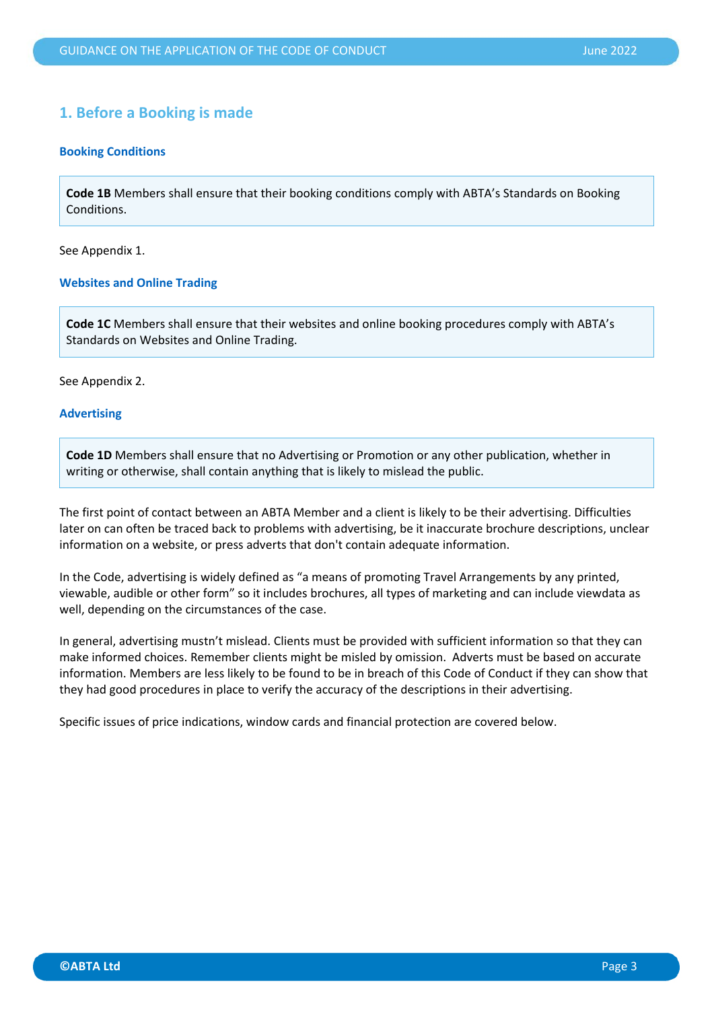#### **1. Before a Booking is made**

#### **Booking Conditions**

**Code 1B** Members shall ensure that their booking conditions comply with ABTA's Standards on Booking Conditions.

See Appendix 1.

#### **Websites and Online Trading**

**Code 1C** Members shall ensure that their websites and online booking procedures comply with ABTA's Standards on Websites and Online Trading.

#### See Appendix 2.

#### **Advertising**

**Code 1D** Members shall ensure that no Advertising or Promotion or any other publication, whether in writing or otherwise, shall contain anything that is likely to mislead the public.

The first point of contact between an ABTA Member and a client is likely to be their advertising. Difficulties later on can often be traced back to problems with advertising, be it inaccurate brochure descriptions, unclear information on a website, or press adverts that don't contain adequate information.

In the Code, advertising is widely defined as "a means of promoting Travel Arrangements by any printed, viewable, audible or other form" so it includes brochures, all types of marketing and can include viewdata as well, depending on the circumstances of the case.

In general, advertising mustn't mislead. Clients must be provided with sufficient information so that they can make informed choices. Remember clients might be misled by omission. Adverts must be based on accurate information. Members are less likely to be found to be in breach of this Code of Conduct if they can show that they had good procedures in place to verify the accuracy of the descriptions in their advertising.

Specific issues of price indications, window cards and financial protection are covered below.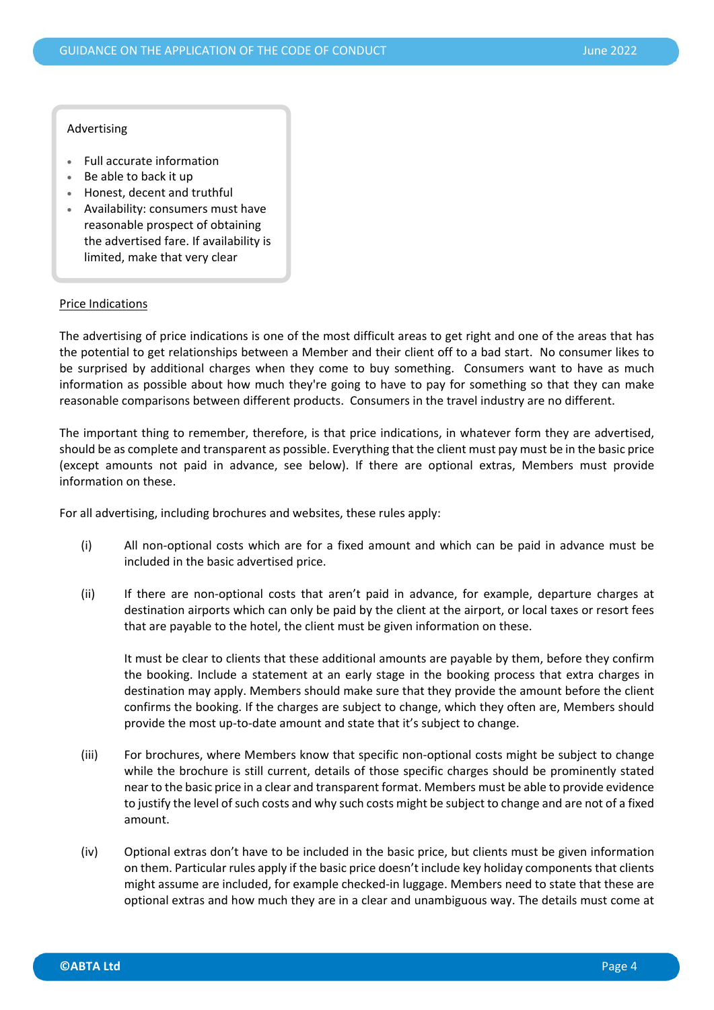#### Advertising

- Full accurate information
- Be able to back it up
- Honest, decent and truthful
- Availability: consumers must have reasonable prospect of obtaining the advertised fare. If availability is limited, make that very clear

#### Price Indications

The advertising of price indications is one of the most difficult areas to get right and one of the areas that has the potential to get relationships between a Member and their client off to a bad start. No consumer likes to be surprised by additional charges when they come to buy something. Consumers want to have as much information as possible about how much they're going to have to pay for something so that they can make reasonable comparisons between different products. Consumers in the travel industry are no different.

The important thing to remember, therefore, is that price indications, in whatever form they are advertised, should be as complete and transparent as possible. Everything that the client must pay must be in the basic price (except amounts not paid in advance, see below). If there are optional extras, Members must provide information on these.

For all advertising, including brochures and websites, these rules apply:

- (i) All non-optional costs which are for a fixed amount and which can be paid in advance must be included in the basic advertised price.
- (ii) If there are non-optional costs that aren't paid in advance, for example, departure charges at destination airports which can only be paid by the client at the airport, or local taxes or resort fees that are payable to the hotel, the client must be given information on these.

It must be clear to clients that these additional amounts are payable by them, before they confirm the booking. Include a statement at an early stage in the booking process that extra charges in destination may apply. Members should make sure that they provide the amount before the client confirms the booking. If the charges are subject to change, which they often are, Members should provide the most up-to-date amount and state that it's subject to change.

- (iii) For brochures, where Members know that specific non-optional costs might be subject to change while the brochure is still current, details of those specific charges should be prominently stated near to the basic price in a clear and transparent format. Members must be able to provide evidence to justify the level of such costs and why such costs might be subject to change and are not of a fixed amount.
- (iv) Optional extras don't have to be included in the basic price, but clients must be given information on them. Particular rules apply if the basic price doesn't include key holiday components that clients might assume are included, for example checked-in luggage. Members need to state that these are optional extras and how much they are in a clear and unambiguous way. The details must come at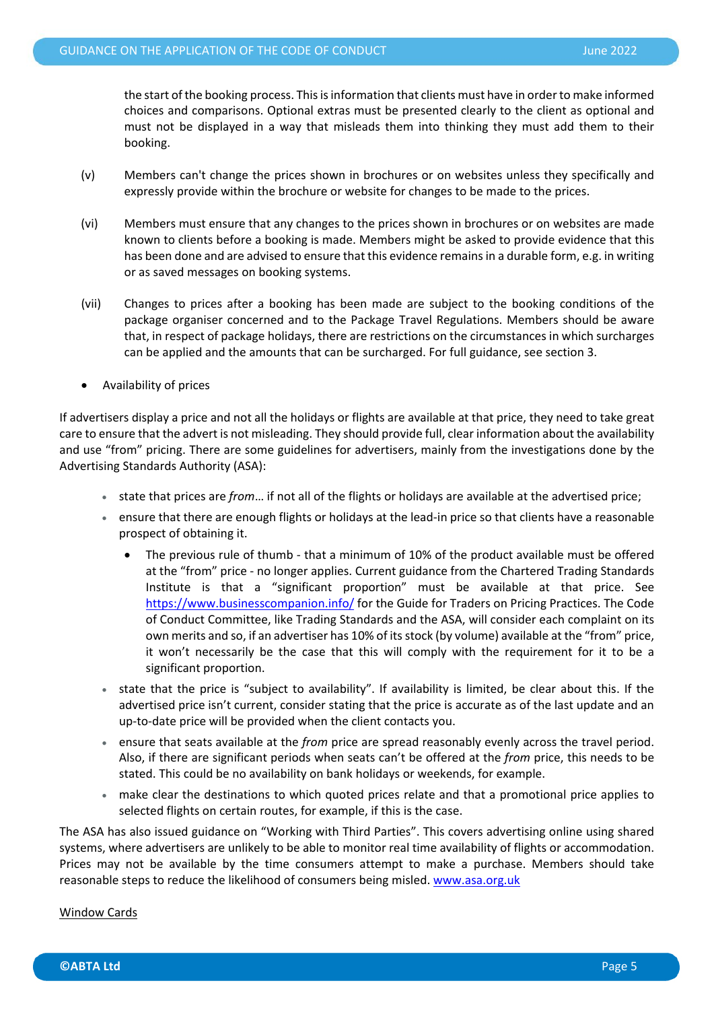the start of the booking process. This is information that clients must have in order to make informed choices and comparisons. Optional extras must be presented clearly to the client as optional and must not be displayed in a way that misleads them into thinking they must add them to their booking.

- (v) Members can't change the prices shown in brochures or on websites unless they specifically and expressly provide within the brochure or website for changes to be made to the prices.
- (vi) Members must ensure that any changes to the prices shown in brochures or on websites are made known to clients before a booking is made. Members might be asked to provide evidence that this has been done and are advised to ensure that this evidence remains in a durable form, e.g. in writing or as saved messages on booking systems.
- (vii) Changes to prices after a booking has been made are subject to the booking conditions of the package organiser concerned and to the Package Travel Regulations. Members should be aware that, in respect of package holidays, there are restrictions on the circumstances in which surcharges can be applied and the amounts that can be surcharged. For full guidance, see section 3.
- Availability of prices

If advertisers display a price and not all the holidays or flights are available at that price, they need to take great care to ensure that the advert is not misleading. They should provide full, clear information about the availability and use "from" pricing. There are some guidelines for advertisers, mainly from the investigations done by the Advertising Standards Authority (ASA):

- state that prices are *from*… if not all of the flights or holidays are available at the advertised price;
- ensure that there are enough flights or holidays at the lead-in price so that clients have a reasonable prospect of obtaining it.
	- The previous rule of thumb that a minimum of 10% of the product available must be offered at the "from" price - no longer applies. Current guidance from the Chartered Trading Standards Institute is that a "significant proportion" must be available at that price. See <https://www.businesscompanion.info/> for the Guide for Traders on Pricing Practices. The Code of Conduct Committee, like Trading Standards and the ASA, will consider each complaint on its own merits and so, if an advertiser has 10% of its stock (by volume) available at the "from" price, it won't necessarily be the case that this will comply with the requirement for it to be a significant proportion.
- state that the price is "subject to availability". If availability is limited, be clear about this. If the advertised price isn't current, consider stating that the price is accurate as of the last update and an up-to-date price will be provided when the client contacts you.
- ensure that seats available at the *from* price are spread reasonably evenly across the travel period. Also, if there are significant periods when seats can't be offered at the *from* price, this needs to be stated. This could be no availability on bank holidays or weekends, for example.
- make clear the destinations to which quoted prices relate and that a promotional price applies to selected flights on certain routes, for example, if this is the case.

The ASA has also issued guidance on "Working with Third Parties". This covers advertising online using shared systems, where advertisers are unlikely to be able to monitor real time availability of flights or accommodation. Prices may not be available by the time consumers attempt to make a purchase. Members should take reasonable steps to reduce the likelihood of consumers being misled. www.asa.org.uk

#### Window Cards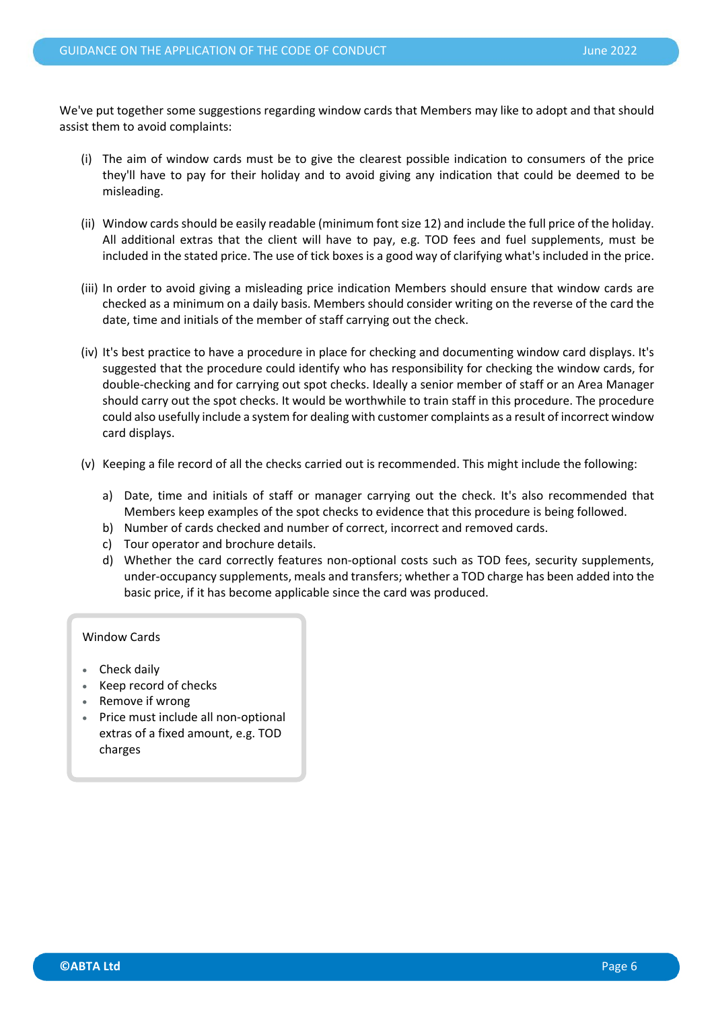We've put together some suggestions regarding window cards that Members may like to adopt and that should assist them to avoid complaints:

- (i) The aim of window cards must be to give the clearest possible indication to consumers of the price they'll have to pay for their holiday and to avoid giving any indication that could be deemed to be misleading.
- (ii) Window cards should be easily readable (minimum font size 12) and include the full price of the holiday. All additional extras that the client will have to pay, e.g. TOD fees and fuel supplements, must be included in the stated price. The use of tick boxes is a good way of clarifying what's included in the price.
- (iii) In order to avoid giving a misleading price indication Members should ensure that window cards are checked as a minimum on a daily basis. Members should consider writing on the reverse of the card the date, time and initials of the member of staff carrying out the check.
- (iv) It's best practice to have a procedure in place for checking and documenting window card displays. It's suggested that the procedure could identify who has responsibility for checking the window cards, for double-checking and for carrying out spot checks. Ideally a senior member of staff or an Area Manager should carry out the spot checks. It would be worthwhile to train staff in this procedure. The procedure could also usefully include a system for dealing with customer complaints as a result of incorrect window card displays.
- (v) Keeping a file record of all the checks carried out is recommended. This might include the following:
	- a) Date, time and initials of staff or manager carrying out the check. It's also recommended that Members keep examples of the spot checks to evidence that this procedure is being followed.
	- b) Number of cards checked and number of correct, incorrect and removed cards.
	- c) Tour operator and brochure details.
	- d) Whether the card correctly features non-optional costs such as TOD fees, security supplements, under-occupancy supplements, meals and transfers; whether a TOD charge has been added into the basic price, if it has become applicable since the card was produced.

#### Window Cards

- Check daily
- Keep record of checks
- Remove if wrong
- Price must include all non-optional extras of a fixed amount, e.g. TOD charges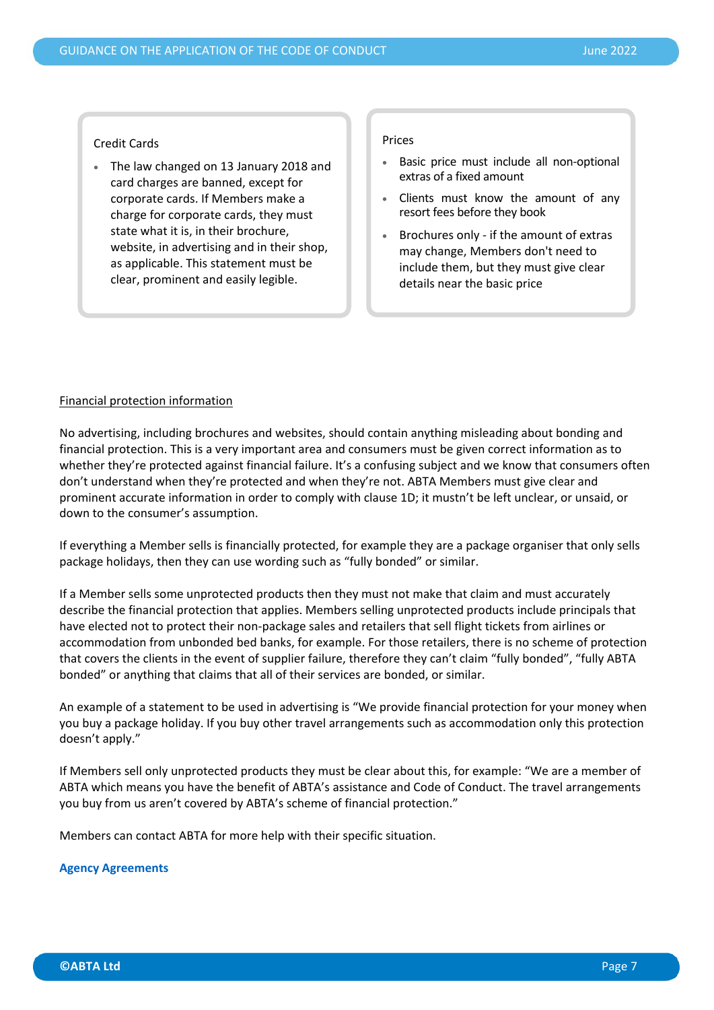#### Credit Cards

• The law changed on 13 January 2018 and card charges are banned, except for corporate cards. If Members make a charge for corporate cards, they must state what it is, in their brochure, website, in advertising and in their shop, as applicable. This statement must be clear, prominent and easily legible.

#### Prices

- Basic price must include all non-optional extras of a fixed amount
- Clients must know the amount of any resort fees before they book
- Brochures only if the amount of extras may change, Members don't need to include them, but they must give clear details near the basic price

#### Financial protection information

No advertising, including brochures and websites, should contain anything misleading about bonding and financial protection. This is a very important area and consumers must be given correct information as to whether they're protected against financial failure. It's a confusing subject and we know that consumers often don't understand when they're protected and when they're not. ABTA Members must give clear and prominent accurate information in order to comply with clause 1D; it mustn't be left unclear, or unsaid, or down to the consumer's assumption.

If everything a Member sells is financially protected, for example they are a package organiser that only sells package holidays, then they can use wording such as "fully bonded" or similar.

If a Member sells some unprotected products then they must not make that claim and must accurately describe the financial protection that applies. Members selling unprotected products include principals that have elected not to protect their non-package sales and retailers that sell flight tickets from airlines or accommodation from unbonded bed banks, for example. For those retailers, there is no scheme of protection that covers the clients in the event of supplier failure, therefore they can't claim "fully bonded", "fully ABTA bonded" or anything that claims that all of their services are bonded, or similar.

An example of a statement to be used in advertising is "We provide financial protection for your money when you buy a package holiday. If you buy other travel arrangements such as accommodation only this protection doesn't apply."

If Members sell only unprotected products they must be clear about this, for example: "We are a member of ABTA which means you have the benefit of ABTA's assistance and Code of Conduct. The travel arrangements you buy from us aren't covered by ABTA's scheme of financial protection."

Members can contact ABTA for more help with their specific situation.

#### **Agency Agreements**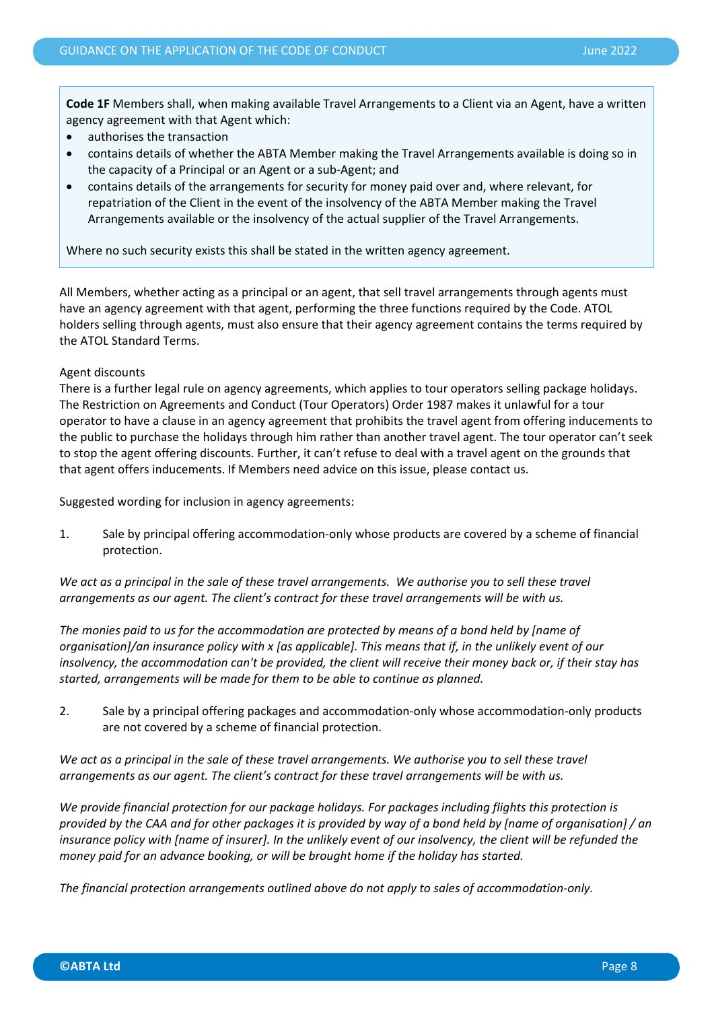**Code 1F** Members shall, when making available Travel Arrangements to a Client via an Agent, have a written agency agreement with that Agent which:

- authorises the transaction
- contains details of whether the ABTA Member making the Travel Arrangements available is doing so in the capacity of a Principal or an Agent or a sub-Agent; and
- contains details of the arrangements for security for money paid over and, where relevant, for repatriation of the Client in the event of the insolvency of the ABTA Member making the Travel Arrangements available or the insolvency of the actual supplier of the Travel Arrangements.

Where no such security exists this shall be stated in the written agency agreement.

All Members, whether acting as a principal or an agent, that sell travel arrangements through agents must have an agency agreement with that agent, performing the three functions required by the Code. ATOL holders selling through agents, must also ensure that their agency agreement contains the terms required by the ATOL Standard Terms.

#### Agent discounts

There is a further legal rule on agency agreements, which applies to tour operators selling package holidays. The Restriction on Agreements and Conduct (Tour Operators) Order 1987 makes it unlawful for a tour operator to have a clause in an agency agreement that prohibits the travel agent from offering inducements to the public to purchase the holidays through him rather than another travel agent. The tour operator can't seek to stop the agent offering discounts. Further, it can't refuse to deal with a travel agent on the grounds that that agent offers inducements. If Members need advice on this issue, please contact us.

Suggested wording for inclusion in agency agreements:

1. Sale by principal offering accommodation-only whose products are covered by a scheme of financial protection.

*We act as a principal in the sale of these travel arrangements. We authorise you to sell these travel arrangements as our agent. The client's contract for these travel arrangements will be with us.*

*The monies paid to us for the accommodation are protected by means of a bond held by [name of organisation]/an insurance policy with x [as applicable]. This means that if, in the unlikely event of our insolvency, the accommodation can't be provided, the client will receive their money back or, if their stay has started, arrangements will be made for them to be able to continue as planned.* 

2. Sale by a principal offering packages and accommodation-only whose accommodation-only products are not covered by a scheme of financial protection.

*We act as a principal in the sale of these travel arrangements. We authorise you to sell these travel arrangements as our agent. The client's contract for these travel arrangements will be with us.*

*We provide financial protection for our package holidays. For packages including flights this protection is provided by the CAA and for other packages it is provided by way of a bond held by [name of organisation] / an insurance policy with [name of insurer]. In the unlikely event of our insolvency, the client will be refunded the money paid for an advance booking, or will be brought home if the holiday has started.*

*The financial protection arrangements outlined above do not apply to sales of accommodation-only.*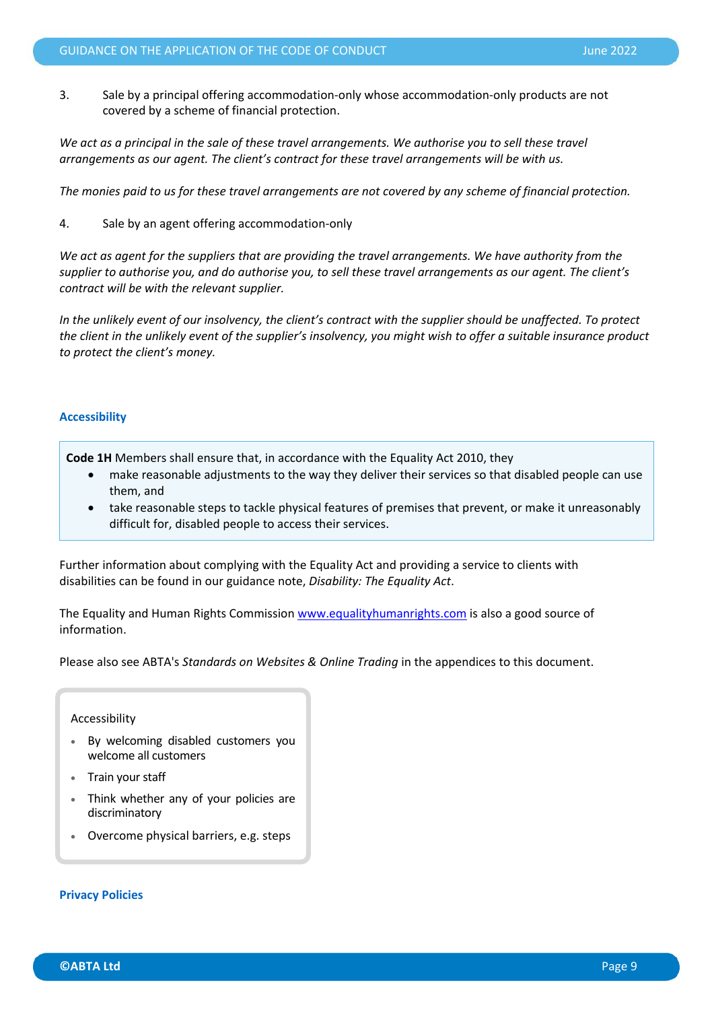3. Sale by a principal offering accommodation-only whose accommodation-only products are not covered by a scheme of financial protection.

We act as a principal in the sale of these travel arrangements. We authorise you to sell these travel *arrangements as our agent. The client's contract for these travel arrangements will be with us.*

*The monies paid to us for these travel arrangements are not covered by any scheme of financial protection.*

4. Sale by an agent offering accommodation-only

*We act as agent for the suppliers that are providing the travel arrangements. We have authority from the supplier to authorise you, and do authorise you, to sell these travel arrangements as our agent. The client's contract will be with the relevant supplier.* 

*In the unlikely event of our insolvency, the client's contract with the supplier should be unaffected. To protect the client in the unlikely event of the supplier's insolvency, you might wish to offer a suitable insurance product to protect the client's money.*

#### **Accessibility**

**Code 1H** Members shall ensure that, in accordance with the Equality Act 2010, they

- make reasonable adjustments to the way they deliver their services so that disabled people can use them, and
- take reasonable steps to tackle physical features of premises that prevent, or make it unreasonably difficult for, disabled people to access their services.

Further information about complying with the Equality Act and providing a service to clients with disabilities can be found in our guidance note, *Disability: The Equality Act*.

The Equality and Human Rights Commission [www.equalityhumanrights.com i](http://www.equalityhumanrights.com/)s also a good source of information.

Please also see ABTA's *Standards on Websites & Online Trading* in the appendices to this document.

#### Accessibility

- By welcoming disabled customers you welcome all customers
- Train your staff
- Think whether any of your policies are discriminatory
- Overcome physical barriers, e.g. steps

#### **Privacy Policies**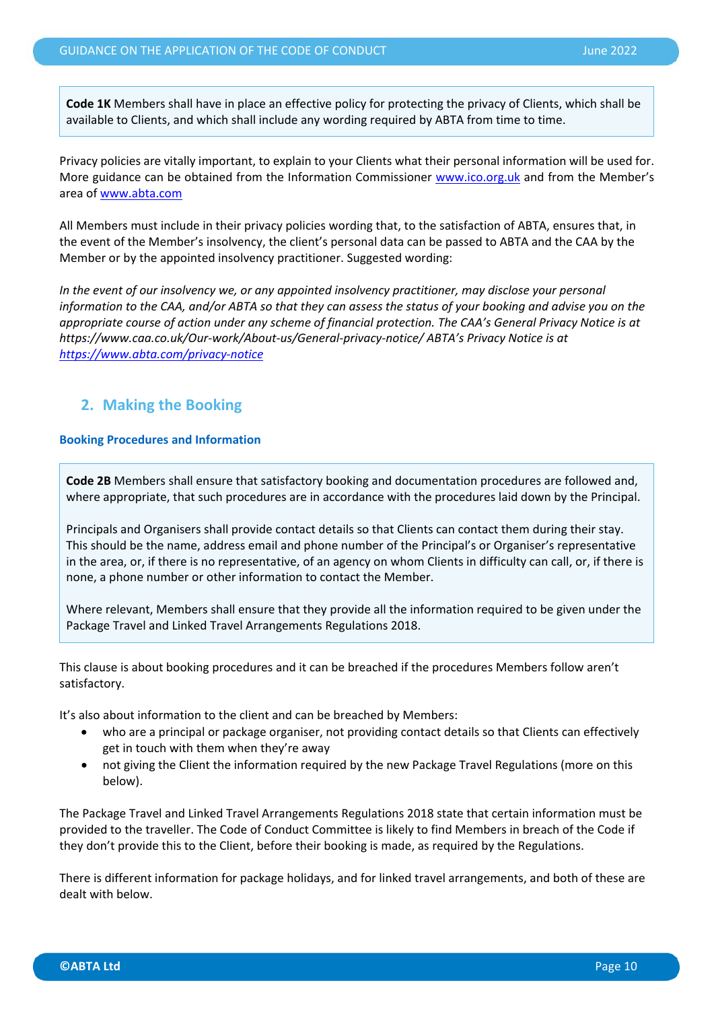**Code 1K** Members shall have in place an effective policy for protecting the privacy of Clients, which shall be available to Clients, and which shall include any wording required by ABTA from time to time.

Privacy policies are vitally important, to explain to your Clients what their personal information will be used for. More guidance can be obtained from the Information Commissioner [www.ico.org.uk](http://www.ico.org.uk/) and from the Member's area o[f www.abta.com](http://www.abta.com/)

All Members must include in their privacy policies wording that, to the satisfaction of ABTA, ensures that, in the event of the Member's insolvency, the client's personal data can be passed to ABTA and the CAA by the Member or by the appointed insolvency practitioner. Suggested wording:

*In the event of our insolvency we, or any appointed insolvency practitioner, may disclose your personal information to the CAA, and/or ABTA so that they can assess the status of your booking and advise you on the appropriate course of action under any scheme of financial protection. The CAA's General Privacy Notice is at https://www.caa.co.uk/Our-work/About-us/General-privacy-notice/ ABTA's Privacy Notice is at <https://www.abta.com/privacy-notice>*

#### **2. Making the Booking**

#### **Booking Procedures and Information**

**Code 2B** Members shall ensure that satisfactory booking and documentation procedures are followed and, where appropriate, that such procedures are in accordance with the procedures laid down by the Principal.

Principals and Organisers shall provide contact details so that Clients can contact them during their stay. This should be the name, address email and phone number of the Principal's or Organiser's representative in the area, or, if there is no representative, of an agency on whom Clients in difficulty can call, or, if there is none, a phone number or other information to contact the Member.

Where relevant, Members shall ensure that they provide all the information required to be given under the Package Travel and Linked Travel Arrangements Regulations 2018.

This clause is about booking procedures and it can be breached if the procedures Members follow aren't satisfactory.

It's also about information to the client and can be breached by Members:

- who are a principal or package organiser, not providing contact details so that Clients can effectively get in touch with them when they're away
- not giving the Client the information required by the new Package Travel Regulations (more on this below).

The Package Travel and Linked Travel Arrangements Regulations 2018 state that certain information must be provided to the traveller. The Code of Conduct Committee is likely to find Members in breach of the Code if they don't provide this to the Client, before their booking is made, as required by the Regulations.

There is different information for package holidays, and for linked travel arrangements, and both of these are dealt with below.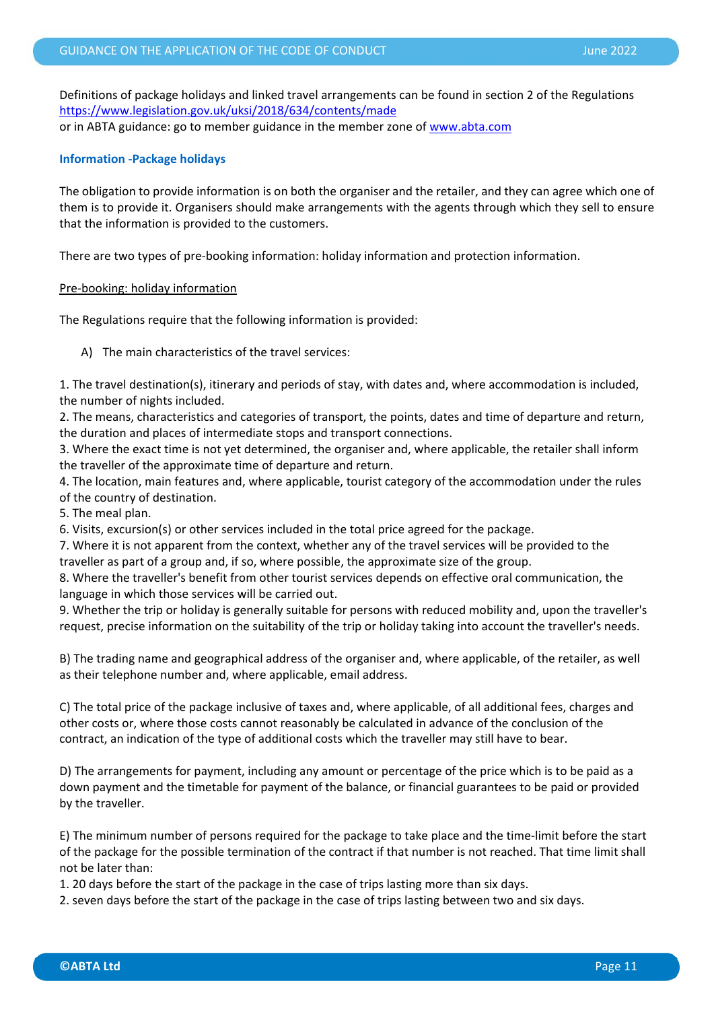Definitions of package holidays and linked travel arrangements can be found in section 2 of the Regulations <https://www.legislation.gov.uk/uksi/2018/634/contents/made> or in ABTA guidance: go to member guidance in the member zone of [www.abta.com](http://www.abta.com/) 

#### **Information -Package holidays**

The obligation to provide information is on both the organiser and the retailer, and they can agree which one of them is to provide it. Organisers should make arrangements with the agents through which they sell to ensure that the information is provided to the customers.

There are two types of pre-booking information: holiday information and protection information.

#### Pre-booking: holiday information

The Regulations require that the following information is provided:

A) The main characteristics of the travel services:

1. The travel destination(s), itinerary and periods of stay, with dates and, where accommodation is included, the number of nights included.

2. The means, characteristics and categories of transport, the points, dates and time of departure and return, the duration and places of intermediate stops and transport connections.

3. Where the exact time is not yet determined, the organiser and, where applicable, the retailer shall inform the traveller of the approximate time of departure and return.

4. The location, main features and, where applicable, tourist category of the accommodation under the rules of the country of destination.

5. The meal plan.

6. Visits, excursion(s) or other services included in the total price agreed for the package.

7. Where it is not apparent from the context, whether any of the travel services will be provided to the traveller as part of a group and, if so, where possible, the approximate size of the group.

8. Where the traveller's benefit from other tourist services depends on effective oral communication, the language in which those services will be carried out.

9. Whether the trip or holiday is generally suitable for persons with reduced mobility and, upon the traveller's request, precise information on the suitability of the trip or holiday taking into account the traveller's needs.

B) The trading name and geographical address of the organiser and, where applicable, of the retailer, as well as their telephone number and, where applicable, email address.

C) The total price of the package inclusive of taxes and, where applicable, of all additional fees, charges and other costs or, where those costs cannot reasonably be calculated in advance of the conclusion of the contract, an indication of the type of additional costs which the traveller may still have to bear.

D) The arrangements for payment, including any amount or percentage of the price which is to be paid as a down payment and the timetable for payment of the balance, or financial guarantees to be paid or provided by the traveller.

E) The minimum number of persons required for the package to take place and the time-limit before the start of the package for the possible termination of the contract if that number is not reached. That time limit shall not be later than:

1. 20 days before the start of the package in the case of trips lasting more than six days.

2. seven days before the start of the package in the case of trips lasting between two and six days.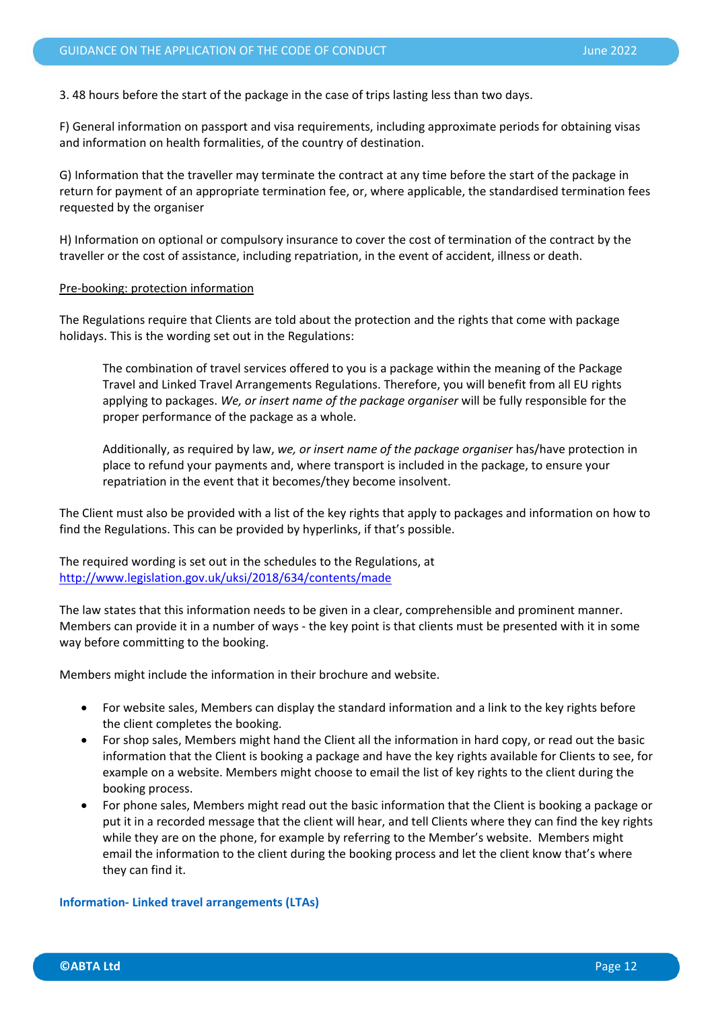3. 48 hours before the start of the package in the case of trips lasting less than two days.

F) General information on passport and visa requirements, including approximate periods for obtaining visas and information on health formalities, of the country of destination.

G) Information that the traveller may terminate the contract at any time before the start of the package in return for payment of an appropriate termination fee, or, where applicable, the standardised termination fees requested by the organiser

H) Information on optional or compulsory insurance to cover the cost of termination of the contract by the traveller or the cost of assistance, including repatriation, in the event of accident, illness or death.

#### Pre-booking: protection information

The Regulations require that Clients are told about the protection and the rights that come with package holidays. This is the wording set out in the Regulations:

The combination of travel services offered to you is a package within the meaning of the Package Travel and Linked Travel Arrangements Regulations. Therefore, you will benefit from all EU rights applying to packages. *We, or insert name of the package organiser* will be fully responsible for the proper performance of the package as a whole.

Additionally, as required by law, *we, or insert name of the package organiser* has/have protection in place to refund your payments and, where transport is included in the package, to ensure your repatriation in the event that it becomes/they become insolvent.

The Client must also be provided with a list of the key rights that apply to packages and information on how to find the Regulations. This can be provided by hyperlinks, if that's possible.

The required wording is set out in the schedules to the Regulations, at <http://www.legislation.gov.uk/uksi/2018/634/contents/made>

The law states that this information needs to be given in a clear, comprehensible and prominent manner. Members can provide it in a number of ways - the key point is that clients must be presented with it in some way before committing to the booking.

Members might include the information in their brochure and website.

- For website sales, Members can display the standard information and a link to the key rights before the client completes the booking.
- For shop sales, Members might hand the Client all the information in hard copy, or read out the basic information that the Client is booking a package and have the key rights available for Clients to see, for example on a website. Members might choose to email the list of key rights to the client during the booking process.
- For phone sales, Members might read out the basic information that the Client is booking a package or put it in a recorded message that the client will hear, and tell Clients where they can find the key rights while they are on the phone, for example by referring to the Member's website. Members might email the information to the client during the booking process and let the client know that's where they can find it.

**Information- Linked travel arrangements (LTAs)**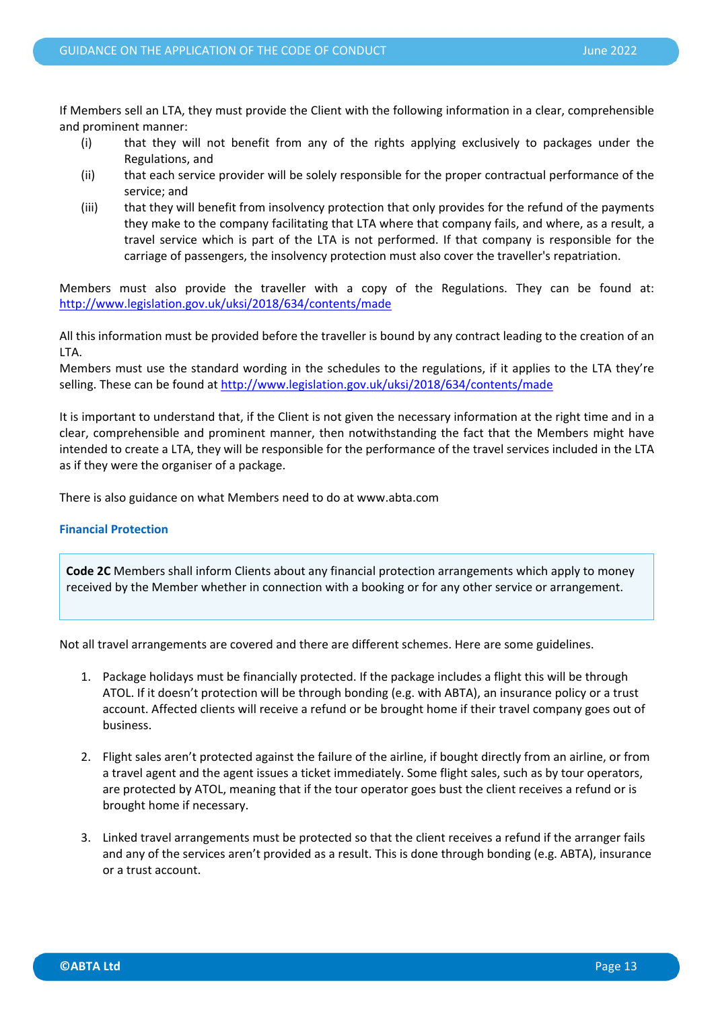If Members sell an LTA, they must provide the Client with the following information in a clear, comprehensible and prominent manner:

- (i) that they will not benefit from any of the rights applying exclusively to packages under the Regulations, and
- (ii) that each service provider will be solely responsible for the proper contractual performance of the service; and
- (iii) that they will benefit from insolvency protection that only provides for the refund of the payments they make to the company facilitating that LTA where that company fails, and where, as a result, a travel service which is part of the LTA is not performed. If that company is responsible for the carriage of passengers, the insolvency protection must also cover the traveller's repatriation.

Members must also provide the traveller with a copy of the Regulations. They can be found at: <http://www.legislation.gov.uk/uksi/2018/634/contents/made>

All this information must be provided before the traveller is bound by any contract leading to the creation of an LTA.

Members must use the standard wording in the schedules to the regulations, if it applies to the LTA they're selling. These can be found at http://www.legislation.gov.uk/uksi/2018/634/contents/made

It is important to understand that, if the Client is not given the necessary information at the right time and in a clear, comprehensible and prominent manner, then notwithstanding the fact that the Members might have intended to create a LTA, they will be responsible for the performance of the travel services included in the LTA as if they were the organiser of a package.

There is also guidance on what Members need to do at www.abta.com

#### **Financial Protection**

**Code 2C** Members shall inform Clients about any financial protection arrangements which apply to money received by the Member whether in connection with a booking or for any other service or arrangement.

Not all travel arrangements are covered and there are different schemes. Here are some guidelines.

- 1. Package holidays must be financially protected. If the package includes a flight this will be through ATOL. If it doesn't protection will be through bonding (e.g. with ABTA), an insurance policy or a trust account. Affected clients will receive a refund or be brought home if their travel company goes out of business.
- 2. Flight sales aren't protected against the failure of the airline, if bought directly from an airline, or from a travel agent and the agent issues a ticket immediately. Some flight sales, such as by tour operators, are protected by ATOL, meaning that if the tour operator goes bust the client receives a refund or is brought home if necessary.
- 3. Linked travel arrangements must be protected so that the client receives a refund if the arranger fails and any of the services aren't provided as a result. This is done through bonding (e.g. ABTA), insurance or a trust account.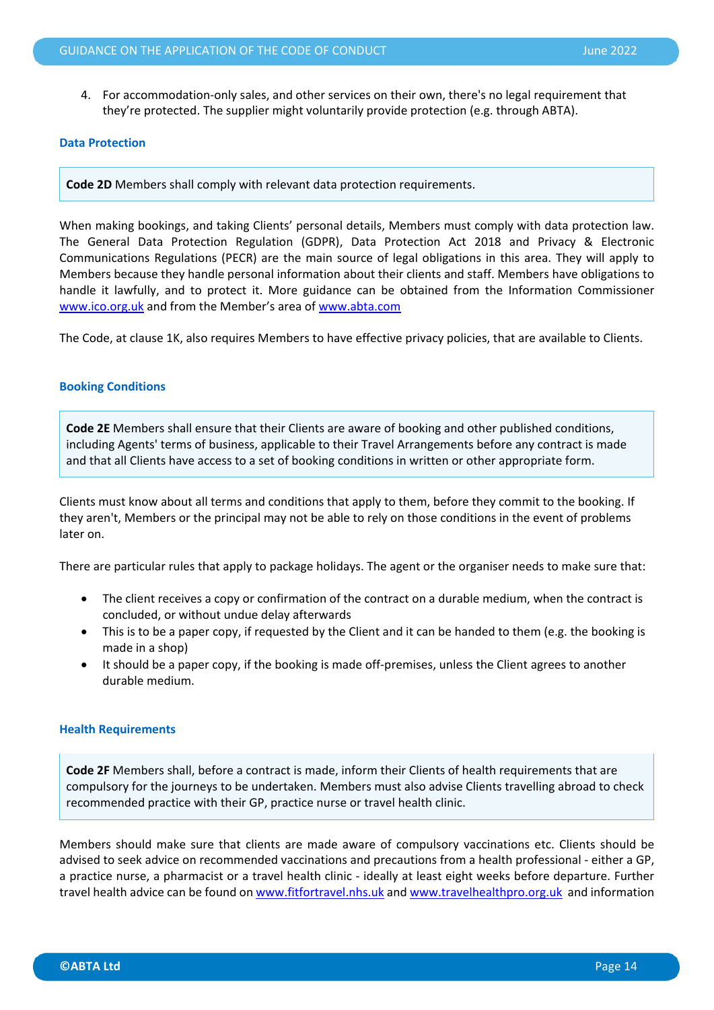4. For accommodation-only sales, and other services on their own, there's no legal requirement that they're protected. The supplier might voluntarily provide protection (e.g. through ABTA).

#### **Data Protection**

**Code 2D** Members shall comply with relevant data protection requirements.

When making bookings, and taking Clients' personal details, Members must comply with data protection law. The General Data Protection Regulation (GDPR), Data Protection Act 2018 and Privacy & Electronic Communications Regulations (PECR) are the main source of legal obligations in this area. They will apply to Members because they handle personal information about their clients and staff. Members have obligations to handle it lawfully, and to protect it. More guidance can be obtained from the Information Commissioner [www.ico.org.uk](http://www.ico.org.uk/) and from the Member's area of [www.abta.com](http://www.abta.com/)

The Code, at clause 1K, also requires Members to have effective privacy policies, that are available to Clients.

#### **Booking Conditions**

**Code 2E** Members shall ensure that their Clients are aware of booking and other published conditions, including Agents' terms of business, applicable to their Travel Arrangements before any contract is made and that all Clients have access to a set of booking conditions in written or other appropriate form.

Clients must know about all terms and conditions that apply to them, before they commit to the booking. If they aren't, Members or the principal may not be able to rely on those conditions in the event of problems later on.

There are particular rules that apply to package holidays. The agent or the organiser needs to make sure that:

- The client receives a copy or confirmation of the contract on a durable medium, when the contract is concluded, or without undue delay afterwards
- This is to be a paper copy, if requested by the Client and it can be handed to them (e.g. the booking is made in a shop)
- It should be a paper copy, if the booking is made off-premises, unless the Client agrees to another durable medium.

#### **Health Requirements**

**Code 2F** Members shall, before a contract is made, inform their Clients of health requirements that are compulsory for the journeys to be undertaken. Members must also advise Clients travelling abroad to check recommended practice with their GP, practice nurse or travel health clinic.

Members should make sure that clients are made aware of compulsory vaccinations etc. Clients should be advised to seek advice on recommended vaccinations and precautions from a health professional - either a GP, a practice nurse, a pharmacist or a travel health clinic - ideally at least eight weeks before departure. Further travel health advice can be found o[n www.fitfortravel.nhs.uk](http://www.fitfortravel.nhs.uk/) and [www.travelhealthpro.org.uk](http://www.travelhealthpro.org.uk/) and information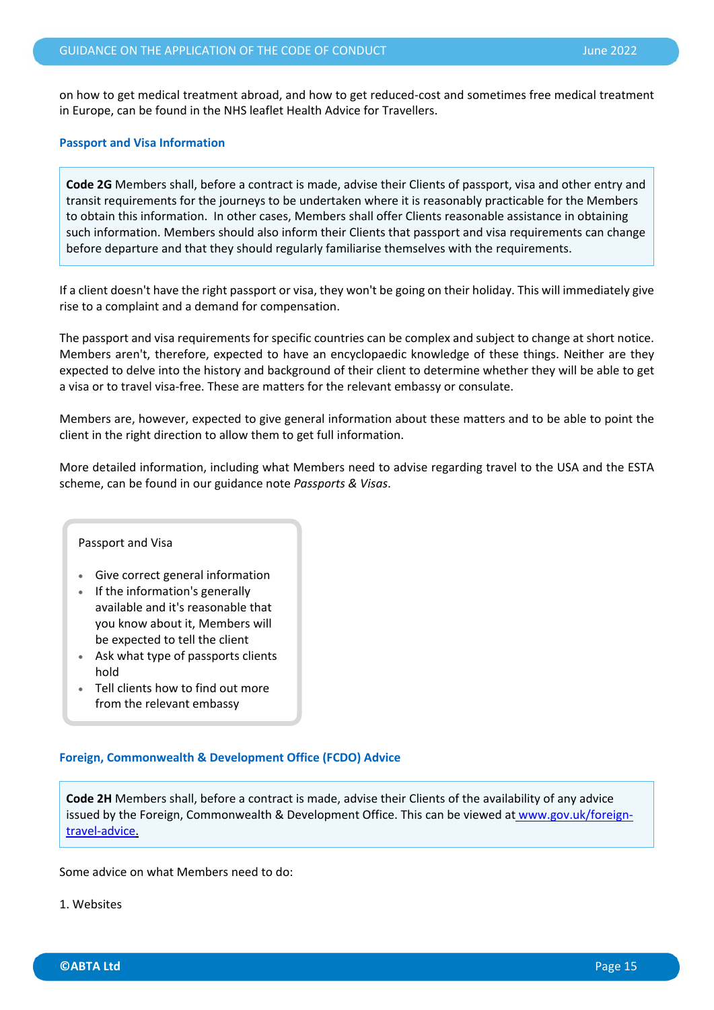on how to get medical treatment abroad, and how to get reduced-cost and sometimes free medical treatment in Europe, can be found in the NHS leaflet Health Advice for Travellers.

#### **Passport and Visa Information**

**Code 2G** Members shall, before a contract is made, advise their Clients of passport, visa and other entry and transit requirements for the journeys to be undertaken where it is reasonably practicable for the Members to obtain this information. In other cases, Members shall offer Clients reasonable assistance in obtaining such information. Members should also inform their Clients that passport and visa requirements can change before departure and that they should regularly familiarise themselves with the requirements.

If a client doesn't have the right passport or visa, they won't be going on their holiday. This will immediately give rise to a complaint and a demand for compensation.

The passport and visa requirements for specific countries can be complex and subject to change at short notice. Members aren't, therefore, expected to have an encyclopaedic knowledge of these things. Neither are they expected to delve into the history and background of their client to determine whether they will be able to get a visa or to travel visa-free. These are matters for the relevant embassy or consulate.

Members are, however, expected to give general information about these matters and to be able to point the client in the right direction to allow them to get full information.

More detailed information, including what Members need to advise regarding travel to the USA and the ESTA scheme, can be found in our guidance note *Passports & Visas*.

#### Passport and Visa

- Give correct general information
- If the information's generally available and it's reasonable that you know about it, Members will be expected to tell the client
- Ask what type of passports clients hold
- Tell clients how to find out more from the relevant embassy

#### **Foreign, Commonwealth & Development Office (FCDO) Advice**

**Code 2H** Members shall, before a contract is made, advise their Clients of the availability of any advice issued by the Foreign, Commonwealth & Development Office. This can be viewed at [www.gov.uk/foreign](http://www.gov.uk/foreign-travel-advice)[travel-advice.](http://www.gov.uk/foreign-travel-advice)

Some advice on what Members need to do:

#### 1. Websites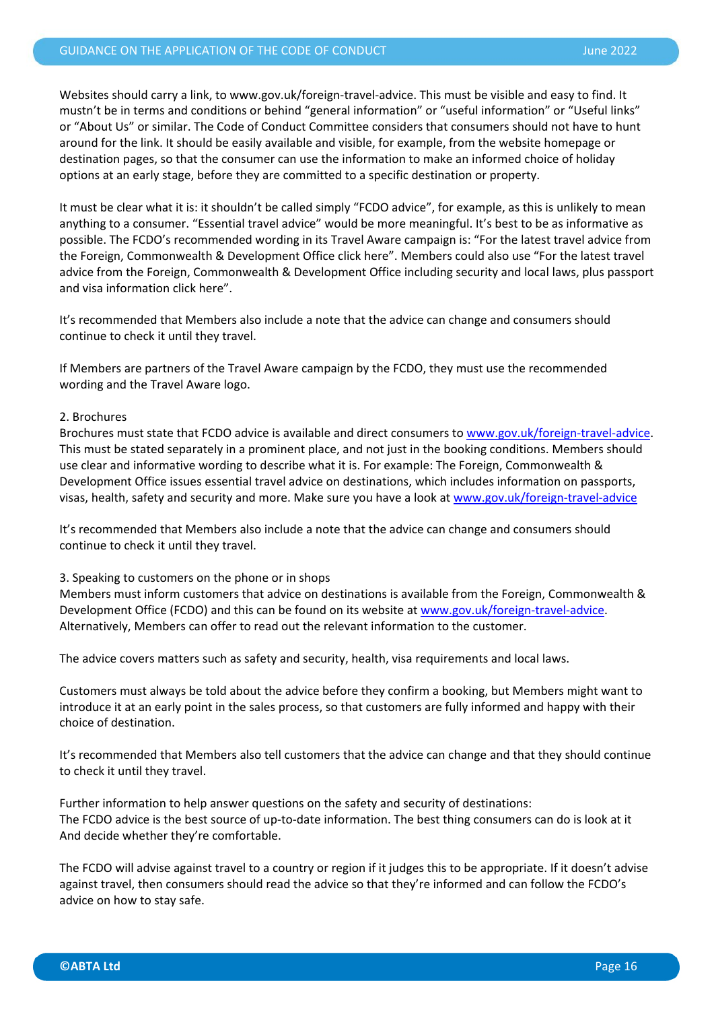Websites should carry a link, to www.gov.uk/foreign-travel-advice. This must be visible and easy to find. It mustn't be in terms and conditions or behind "general information" or "useful information" or "Useful links" or "About Us" or similar. The Code of Conduct Committee considers that consumers should not have to hunt around for the link. It should be easily available and visible, for example, from the website homepage or destination pages, so that the consumer can use the information to make an informed choice of holiday options at an early stage, before they are committed to a specific destination or property.

It must be clear what it is: it shouldn't be called simply "FCDO advice", for example, as this is unlikely to mean anything to a consumer. "Essential travel advice" would be more meaningful. It's best to be as informative as possible. The FCDO's recommended wording in its Travel Aware campaign is: "For the latest travel advice from the Foreign, Commonwealth & Development Office click here". Members could also use "For the latest travel advice from the Foreign, Commonwealth & Development Office including security and local laws, plus passport and visa information click here".

It's recommended that Members also include a note that the advice can change and consumers should continue to check it until they travel.

If Members are partners of the Travel Aware campaign by the FCDO, they must use the recommended wording and the Travel Aware logo.

#### 2. Brochures

Brochures must state that FCDO advice is available and direct consumers to [www.gov.uk/foreign-travel-advice.](http://www.gov.uk/foreign-travel-advice) This must be stated separately in a prominent place, and not just in the booking conditions. Members should use clear and informative wording to describe what it is. For example: The Foreign, Commonwealth & Development Office issues essential travel advice on destinations, which includes information on passports, visas, health, safety and security and more. Make sure you have a look at [www.gov.uk/foreign-travel-advice](http://www.gov.uk/foreign-travel-advice)

It's recommended that Members also include a note that the advice can change and consumers should continue to check it until they travel.

#### 3. Speaking to customers on the phone or in shops

Members must inform customers that advice on destinations is available from the Foreign, Commonwealth & Development Office (FCDO) and this can be found on its website at [www.gov.uk/foreign-travel-advice.](http://www.gov.uk/foreign-travel-advice) Alternatively, Members can offer to read out the relevant information to the customer.

The advice covers matters such as safety and security, health, visa requirements and local laws.

Customers must always be told about the advice before they confirm a booking, but Members might want to introduce it at an early point in the sales process, so that customers are fully informed and happy with their choice of destination.

It's recommended that Members also tell customers that the advice can change and that they should continue to check it until they travel.

Further information to help answer questions on the safety and security of destinations: The FCDO advice is the best source of up-to-date information. The best thing consumers can do is look at it And decide whether they're comfortable.

The FCDO will advise against travel to a country or region if it judges this to be appropriate. If it doesn't advise against travel, then consumers should read the advice so that they're informed and can follow the FCDO's advice on how to stay safe.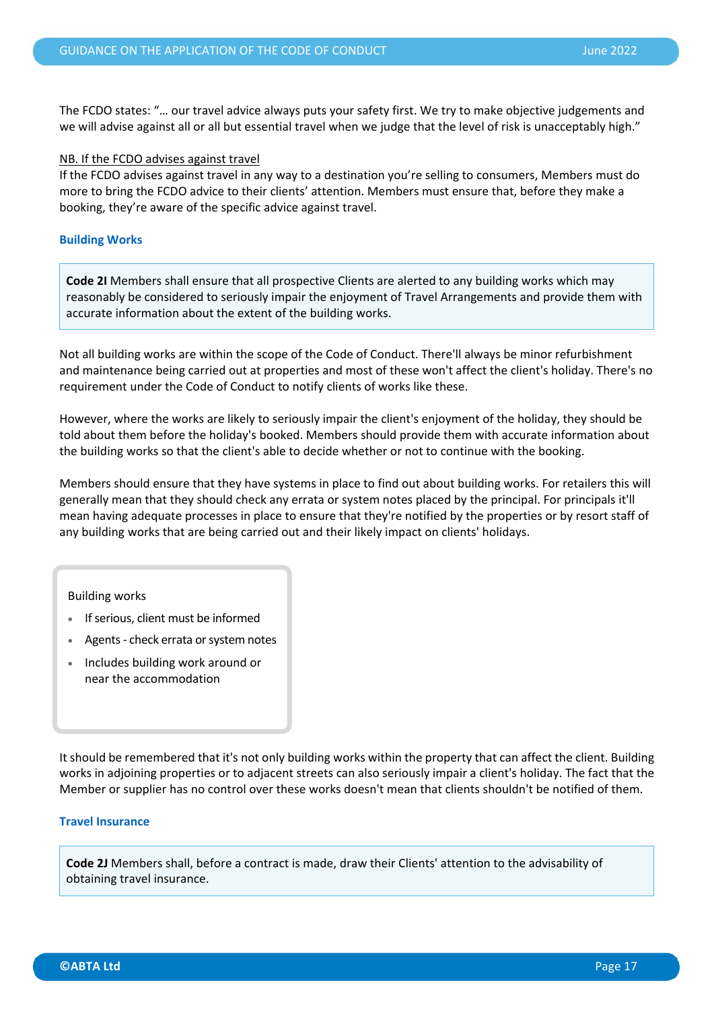The FCDO states: "… our travel advice always puts your safety first. We try to make objective judgements and we will advise against all or all but essential travel when we judge that the level of risk is unacceptably high."

#### NB. If the FCDO advises against travel

If the FCDO advises against travel in any way to a destination you're selling to consumers, Members must do more to bring the FCDO advice to their clients' attention. Members must ensure that, before they make a booking, they're aware of the specific advice against travel.

#### **Building Works**

**Code 2I** Members shall ensure that all prospective Clients are alerted to any building works which may reasonably be considered to seriously impair the enjoyment of Travel Arrangements and provide them with accurate information about the extent of the building works.

Not all building works are within the scope of the Code of Conduct. There'll always be minor refurbishment and maintenance being carried out at properties and most of these won't affect the client's holiday. There's no requirement under the Code of Conduct to notify clients of works like these.

However, where the works are likely to seriously impair the client's enjoyment of the holiday, they should be told about them before the holiday's booked. Members should provide them with accurate information about the building works so that the client's able to decide whether or not to continue with the booking.

Members should ensure that they have systems in place to find out about building works. For retailers this will generally mean that they should check any errata or system notes placed by the principal. For principals it'll mean having adequate processes in place to ensure that they're notified by the properties or by resort staff of any building works that are being carried out and their likely impact on clients' holidays.

Building works

- If serious, client must be informed
- Agents check errata or system notes
- Includes building work around or near the accommodation

It should be remembered that it's not only building works within the property that can affect the client. Building works in adjoining properties or to adjacent streets can also seriously impair a client's holiday. The fact that the Member or supplier has no control over these works doesn't mean that clients shouldn't be notified of them.

#### **Travel Insurance**

**Code 2J** Members shall, before a contract is made, draw their Clients' attention to the advisability of obtaining travel insurance.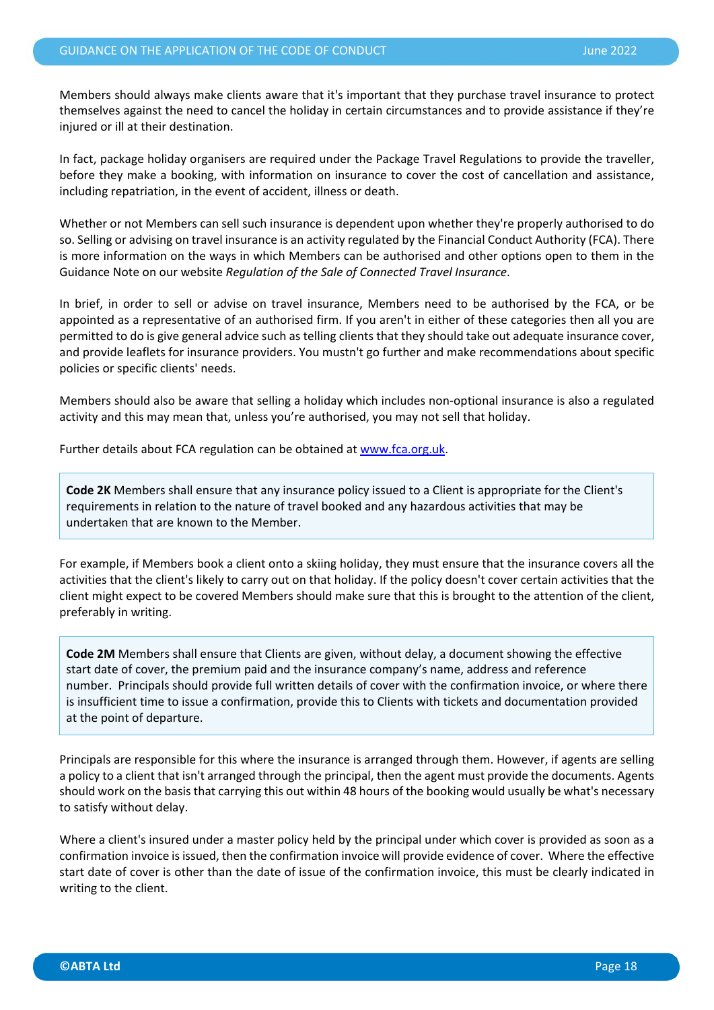Members should always make clients aware that it's important that they purchase travel insurance to protect themselves against the need to cancel the holiday in certain circumstances and to provide assistance if they're injured or ill at their destination.

In fact, package holiday organisers are required under the Package Travel Regulations to provide the traveller, before they make a booking, with information on insurance to cover the cost of cancellation and assistance, including repatriation, in the event of accident, illness or death.

Whether or not Members can sell such insurance is dependent upon whether they're properly authorised to do so. Selling or advising on travel insurance is an activity regulated by the Financial Conduct Authority (FCA). There is more information on the ways in which Members can be authorised and other options open to them in the Guidance Note on our website *Regulation of the Sale of Connected Travel Insurance*.

In brief, in order to sell or advise on travel insurance, Members need to be authorised by the FCA, or be appointed as a representative of an authorised firm. If you aren't in either of these categories then all you are permitted to do is give general advice such as telling clients that they should take out adequate insurance cover, and provide leaflets for insurance providers. You mustn't go further and make recommendations about specific policies or specific clients' needs.

Members should also be aware that selling a holiday which includes non-optional insurance is also a regulated activity and this may mean that, unless you're authorised, you may not sell that holiday.

Further details about FCA regulation can be obtained at [www.fca.org.uk.](http://www.fca.org.uk/)

**Code 2K** Members shall ensure that any insurance policy issued to a Client is appropriate for the Client's requirements in relation to the nature of travel booked and any hazardous activities that may be undertaken that are known to the Member.

For example, if Members book a client onto a skiing holiday, they must ensure that the insurance covers all the activities that the client's likely to carry out on that holiday. If the policy doesn't cover certain activities that the client might expect to be covered Members should make sure that this is brought to the attention of the client, preferably in writing.

**Code 2M** Members shall ensure that Clients are given, without delay, a document showing the effective start date of cover, the premium paid and the insurance company's name, address and reference number. Principals should provide full written details of cover with the confirmation invoice, or where there is insufficient time to issue a confirmation, provide this to Clients with tickets and documentation provided at the point of departure.

Principals are responsible for this where the insurance is arranged through them. However, if agents are selling a policy to a client that isn't arranged through the principal, then the agent must provide the documents. Agents should work on the basis that carrying this out within 48 hours of the booking would usually be what's necessary to satisfy without delay.

Where a client's insured under a master policy held by the principal under which cover is provided as soon as a confirmation invoice is issued, then the confirmation invoice will provide evidence of cover. Where the effective start date of cover is other than the date of issue of the confirmation invoice, this must be clearly indicated in writing to the client.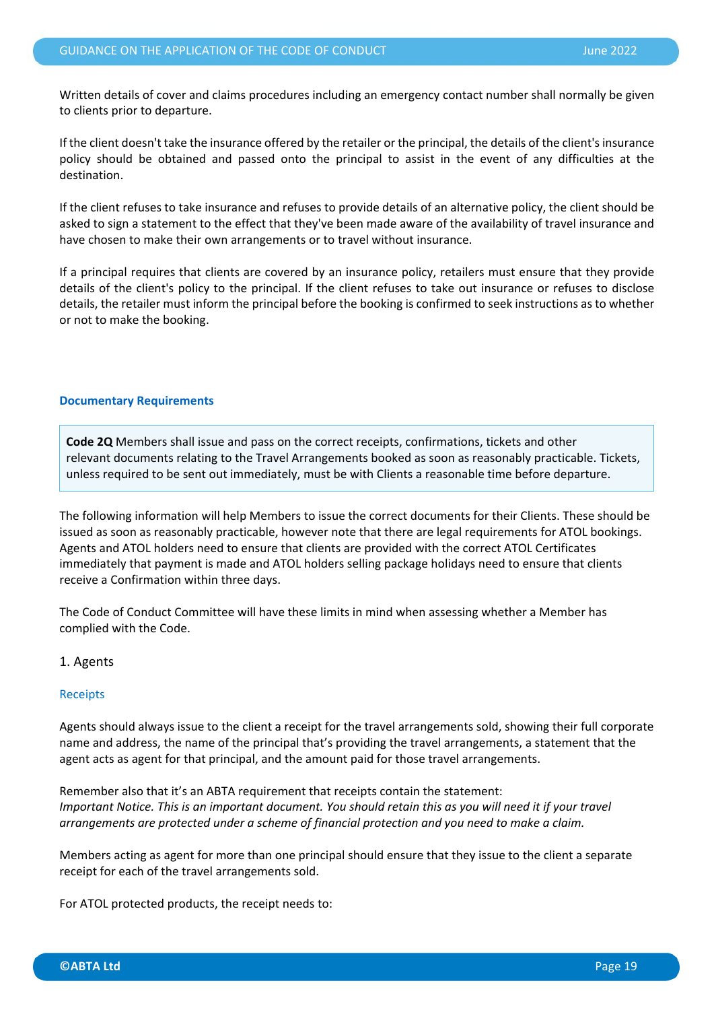Written details of cover and claims procedures including an emergency contact number shall normally be given to clients prior to departure.

If the client doesn't take the insurance offered by the retailer or the principal, the details of the client's insurance policy should be obtained and passed onto the principal to assist in the event of any difficulties at the destination.

If the client refuses to take insurance and refuses to provide details of an alternative policy, the client should be asked to sign a statement to the effect that they've been made aware of the availability of travel insurance and have chosen to make their own arrangements or to travel without insurance.

If a principal requires that clients are covered by an insurance policy, retailers must ensure that they provide details of the client's policy to the principal. If the client refuses to take out insurance or refuses to disclose details, the retailer must inform the principal before the booking is confirmed to seek instructions as to whether or not to make the booking.

#### **Documentary Requirements**

**Code 2Q** Members shall issue and pass on the correct receipts, confirmations, tickets and other relevant documents relating to the Travel Arrangements booked as soon as reasonably practicable. Tickets, unless required to be sent out immediately, must be with Clients a reasonable time before departure.

The following information will help Members to issue the correct documents for their Clients. These should be issued as soon as reasonably practicable, however note that there are legal requirements for ATOL bookings. Agents and ATOL holders need to ensure that clients are provided with the correct ATOL Certificates immediately that payment is made and ATOL holders selling package holidays need to ensure that clients receive a Confirmation within three days.

The Code of Conduct Committee will have these limits in mind when assessing whether a Member has complied with the Code.

#### 1. Agents

#### Receipts

Agents should always issue to the client a receipt for the travel arrangements sold, showing their full corporate name and address, the name of the principal that's providing the travel arrangements, a statement that the agent acts as agent for that principal, and the amount paid for those travel arrangements.

Remember also that it's an ABTA requirement that receipts contain the statement: *Important Notice. This is an important document. You should retain this as you will need it if your travel arrangements are protected under a scheme of financial protection and you need to make a claim.*

Members acting as agent for more than one principal should ensure that they issue to the client a separate receipt for each of the travel arrangements sold.

For ATOL protected products, the receipt needs to: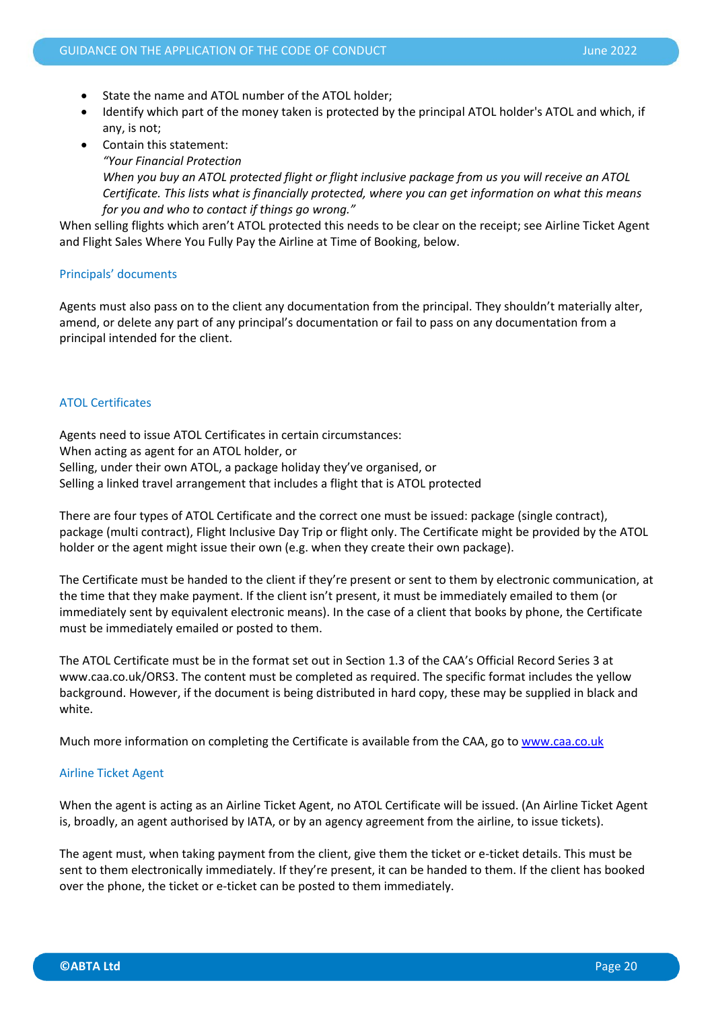- State the name and ATOL number of the ATOL holder;
- Identify which part of the money taken is protected by the principal ATOL holder's ATOL and which, if any, is not;
- Contain this statement: *"Your Financial Protection When you buy an ATOL protected flight or flight inclusive package from us you will receive an ATOL Certificate. This lists what is financially protected, where you can get information on what this means for you and who to contact if things go wrong."*

When selling flights which aren't ATOL protected this needs to be clear on the receipt; see Airline Ticket Agent and Flight Sales Where You Fully Pay the Airline at Time of Booking, below.

#### Principals' documents

Agents must also pass on to the client any documentation from the principal. They shouldn't materially alter, amend, or delete any part of any principal's documentation or fail to pass on any documentation from a principal intended for the client.

#### ATOL Certificates

Agents need to issue ATOL Certificates in certain circumstances: When acting as agent for an ATOL holder, or Selling, under their own ATOL, a package holiday they've organised, or Selling a linked travel arrangement that includes a flight that is ATOL protected

There are four types of ATOL Certificate and the correct one must be issued: package (single contract), package (multi contract), Flight Inclusive Day Trip or flight only. The Certificate might be provided by the ATOL holder or the agent might issue their own (e.g. when they create their own package).

The Certificate must be handed to the client if they're present or sent to them by electronic communication, at the time that they make payment. If the client isn't present, it must be immediately emailed to them (or immediately sent by equivalent electronic means). In the case of a client that books by phone, the Certificate must be immediately emailed or posted to them.

The ATOL Certificate must be in the format set out in Section 1.3 of the CAA's Official Record Series 3 at www.caa.co.uk/ORS3. The content must be completed as required. The specific format includes the yellow background. However, if the document is being distributed in hard copy, these may be supplied in black and white.

Much more information on completing the Certificate is available from the CAA, go to [www.caa.co.uk](http://www.caa.co.uk/) 

#### Airline Ticket Agent

When the agent is acting as an Airline Ticket Agent, no ATOL Certificate will be issued. (An Airline Ticket Agent is, broadly, an agent authorised by IATA, or by an agency agreement from the airline, to issue tickets).

The agent must, when taking payment from the client, give them the ticket or e-ticket details. This must be sent to them electronically immediately. If they're present, it can be handed to them. If the client has booked over the phone, the ticket or e-ticket can be posted to them immediately.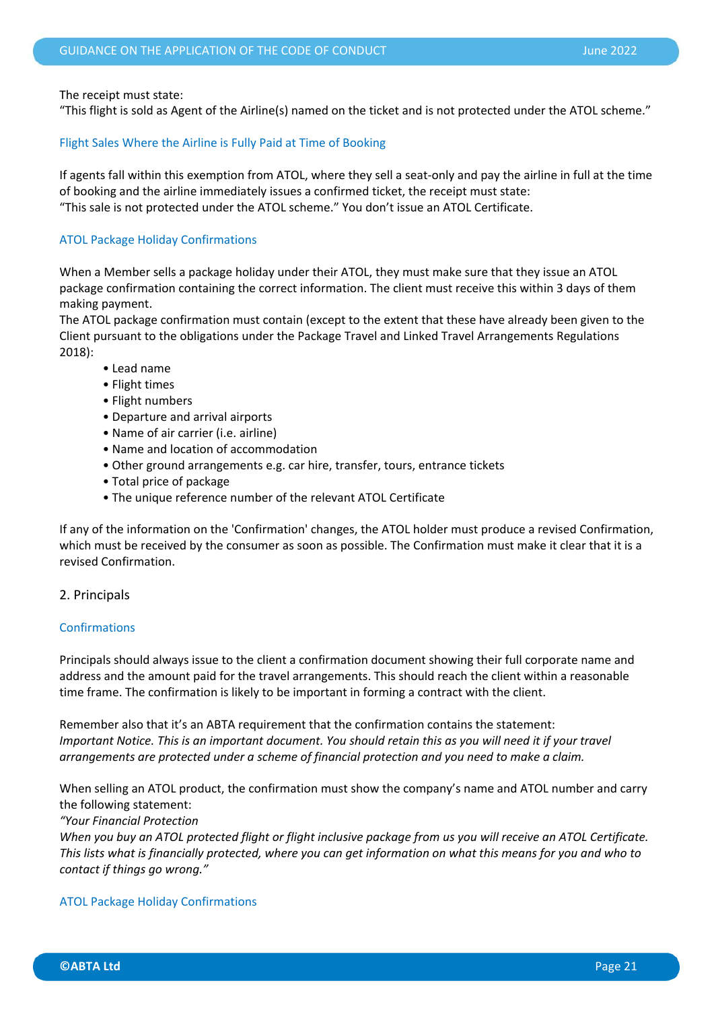#### The receipt must state:

"This flight is sold as Agent of the Airline(s) named on the ticket and is not protected under the ATOL scheme."

#### Flight Sales Where the Airline is Fully Paid at Time of Booking

If agents fall within this exemption from ATOL, where they sell a seat-only and pay the airline in full at the time of booking and the airline immediately issues a confirmed ticket, the receipt must state: "This sale is not protected under the ATOL scheme." You don't issue an ATOL Certificate.

#### ATOL Package Holiday Confirmations

When a Member sells a package holiday under their ATOL, they must make sure that they issue an ATOL package confirmation containing the correct information. The client must receive this within 3 days of them making payment.

The ATOL package confirmation must contain (except to the extent that these have already been given to the Client pursuant to the obligations under the Package Travel and Linked Travel Arrangements Regulations 2018):

- Lead name
- Flight times
- Flight numbers
- Departure and arrival airports
- Name of air carrier (i.e. airline)
- Name and location of accommodation
- Other ground arrangements e.g. car hire, transfer, tours, entrance tickets
- Total price of package
- The unique reference number of the relevant ATOL Certificate

If any of the information on the 'Confirmation' changes, the ATOL holder must produce a revised Confirmation, which must be received by the consumer as soon as possible. The Confirmation must make it clear that it is a revised Confirmation.

#### 2. Principals

#### Confirmations

Principals should always issue to the client a confirmation document showing their full corporate name and address and the amount paid for the travel arrangements. This should reach the client within a reasonable time frame. The confirmation is likely to be important in forming a contract with the client.

Remember also that it's an ABTA requirement that the confirmation contains the statement: *Important Notice. This is an important document. You should retain this as you will need it if your travel arrangements are protected under a scheme of financial protection and you need to make a claim.*

When selling an ATOL product, the confirmation must show the company's name and ATOL number and carry the following statement:

*"Your Financial Protection*

*When you buy an ATOL protected flight or flight inclusive package from us you will receive an ATOL Certificate. This lists what is financially protected, where you can get information on what this means for you and who to contact if things go wrong."*

#### ATOL Package Holiday Confirmations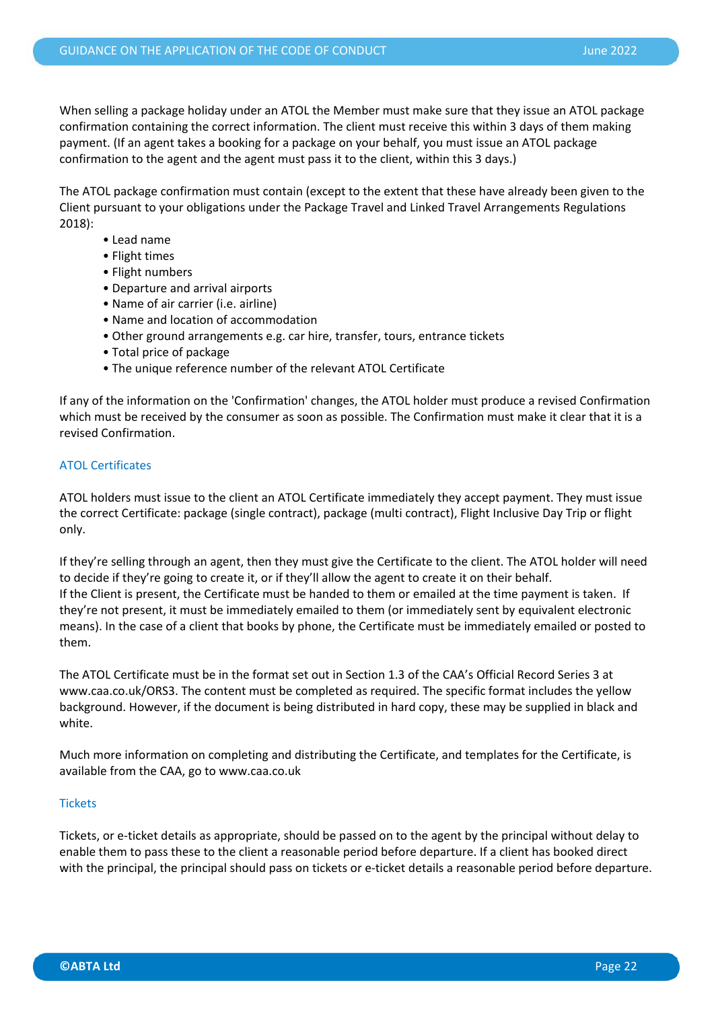When selling a package holiday under an ATOL the Member must make sure that they issue an ATOL package confirmation containing the correct information. The client must receive this within 3 days of them making payment. (If an agent takes a booking for a package on your behalf, you must issue an ATOL package confirmation to the agent and the agent must pass it to the client, within this 3 days.)

The ATOL package confirmation must contain (except to the extent that these have already been given to the Client pursuant to your obligations under the Package Travel and Linked Travel Arrangements Regulations 2018):

- Lead name
- Flight times
- Flight numbers
- Departure and arrival airports
- Name of air carrier (i.e. airline)
- Name and location of accommodation
- Other ground arrangements e.g. car hire, transfer, tours, entrance tickets
- Total price of package
- The unique reference number of the relevant ATOL Certificate

If any of the information on the 'Confirmation' changes, the ATOL holder must produce a revised Confirmation which must be received by the consumer as soon as possible. The Confirmation must make it clear that it is a revised Confirmation.

#### ATOL Certificates

ATOL holders must issue to the client an ATOL Certificate immediately they accept payment. They must issue the correct Certificate: package (single contract), package (multi contract), Flight Inclusive Day Trip or flight only.

If they're selling through an agent, then they must give the Certificate to the client. The ATOL holder will need to decide if they're going to create it, or if they'll allow the agent to create it on their behalf. If the Client is present, the Certificate must be handed to them or emailed at the time payment is taken. If they're not present, it must be immediately emailed to them (or immediately sent by equivalent electronic means). In the case of a client that books by phone, the Certificate must be immediately emailed or posted to them.

The ATOL Certificate must be in the format set out in Section 1.3 of the CAA's Official Record Series 3 at www.caa.co.uk/ORS3. The content must be completed as required. The specific format includes the yellow background. However, if the document is being distributed in hard copy, these may be supplied in black and white.

Much more information on completing and distributing the Certificate, and templates for the Certificate, is available from the CAA, go to www.caa.co.uk

#### **Tickets**

Tickets, or e-ticket details as appropriate, should be passed on to the agent by the principal without delay to enable them to pass these to the client a reasonable period before departure. If a client has booked direct with the principal, the principal should pass on tickets or e-ticket details a reasonable period before departure.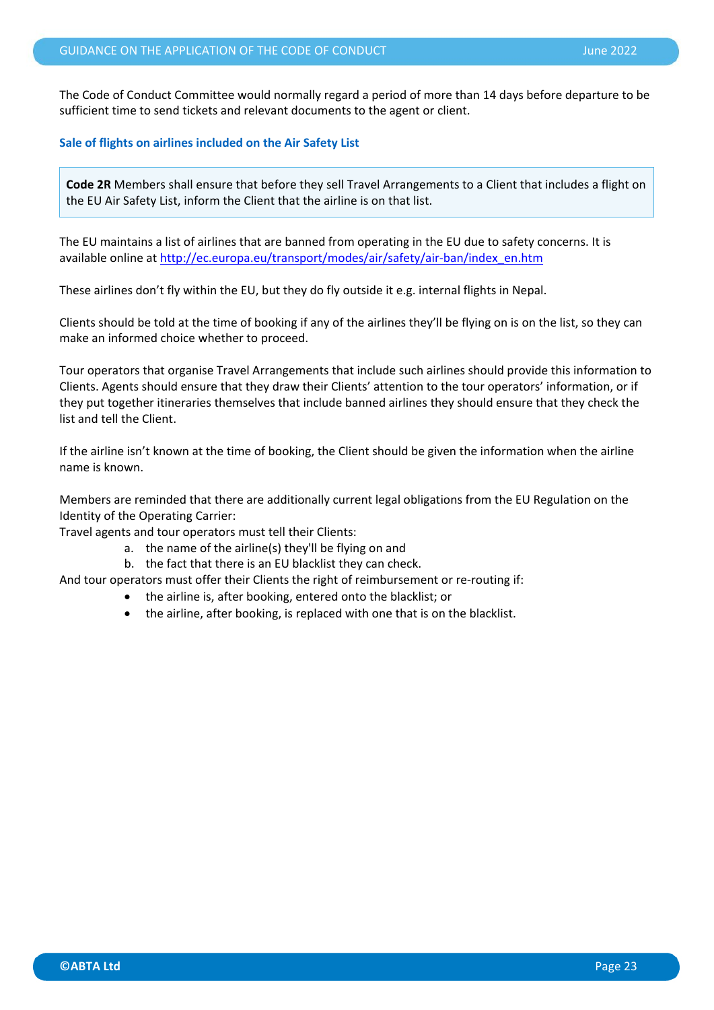The Code of Conduct Committee would normally regard a period of more than 14 days before departure to be sufficient time to send tickets and relevant documents to the agent or client.

#### **Sale of flights on airlines included on the Air Safety List**

**Code 2R** Members shall ensure that before they sell Travel Arrangements to a Client that includes a flight on the EU Air Safety List, inform the Client that the airline is on that list.

The EU maintains a list of airlines that are banned from operating in the EU due to safety concerns. It is available online at [http://ec.europa.eu/transport/modes/air/safety/air-ban/index\\_en.htm](http://ec.europa.eu/transport/modes/air/safety/air-ban/index_en.htm)

These airlines don't fly within the EU, but they do fly outside it e.g. internal flights in Nepal.

Clients should be told at the time of booking if any of the airlines they'll be flying on is on the list, so they can make an informed choice whether to proceed.

Tour operators that organise Travel Arrangements that include such airlines should provide this information to Clients. Agents should ensure that they draw their Clients' attention to the tour operators' information, or if they put together itineraries themselves that include banned airlines they should ensure that they check the list and tell the Client.

If the airline isn't known at the time of booking, the Client should be given the information when the airline name is known.

Members are reminded that there are additionally current legal obligations from the EU Regulation on the Identity of the Operating Carrier:

Travel agents and tour operators must tell their Clients:

- a. the name of the airline(s) they'll be flying on and
- b. the fact that there is an EU blacklist they can check.

And tour operators must offer their Clients the right of reimbursement or re-routing if:

- the airline is, after booking, entered onto the blacklist; or
- the airline, after booking, is replaced with one that is on the blacklist.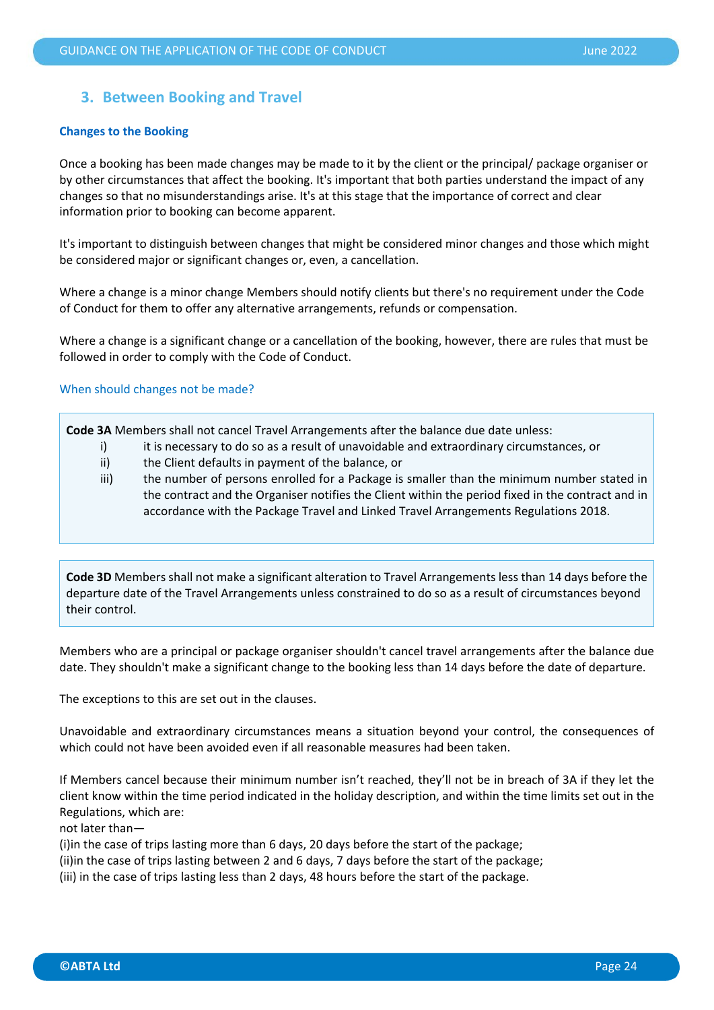#### **3. Between Booking and Travel**

#### **Changes to the Booking**

Once a booking has been made changes may be made to it by the client or the principal/ package organiser or by other circumstances that affect the booking. It's important that both parties understand the impact of any changes so that no misunderstandings arise. It's at this stage that the importance of correct and clear information prior to booking can become apparent.

It's important to distinguish between changes that might be considered minor changes and those which might be considered major or significant changes or, even, a cancellation.

Where a change is a minor change Members should notify clients but there's no requirement under the Code of Conduct for them to offer any alternative arrangements, refunds or compensation.

Where a change is a significant change or a cancellation of the booking, however, there are rules that must be followed in order to comply with the Code of Conduct.

#### When should changes not be made?

**Code 3A** Members shall not cancel Travel Arrangements after the balance due date unless:

- i) it is necessary to do so as a result of unavoidable and extraordinary circumstances, or
- ii) the Client defaults in payment of the balance, or
- iii) the number of persons enrolled for a Package is smaller than the minimum number stated in the contract and the Organiser notifies the Client within the period fixed in the contract and in accordance with the Package Travel and Linked Travel Arrangements Regulations 2018.

**Code 3D** Members shall not make a significant alteration to Travel Arrangements less than 14 days before the departure date of the Travel Arrangements unless constrained to do so as a result of circumstances beyond their control.

Members who are a principal or package organiser shouldn't cancel travel arrangements after the balance due date. They shouldn't make a significant change to the booking less than 14 days before the date of departure.

The exceptions to this are set out in the clauses.

Unavoidable and extraordinary circumstances means a situation beyond your control, the consequences of which could not have been avoided even if all reasonable measures had been taken.

If Members cancel because their minimum number isn't reached, they'll not be in breach of 3A if they let the client know within the time period indicated in the holiday description, and within the time limits set out in the Regulations, which are:

not later than—

(i)in the case of trips lasting more than 6 days, 20 days before the start of the package;

(ii)in the case of trips lasting between 2 and 6 days, 7 days before the start of the package;

(iii) in the case of trips lasting less than 2 days, 48 hours before the start of the package.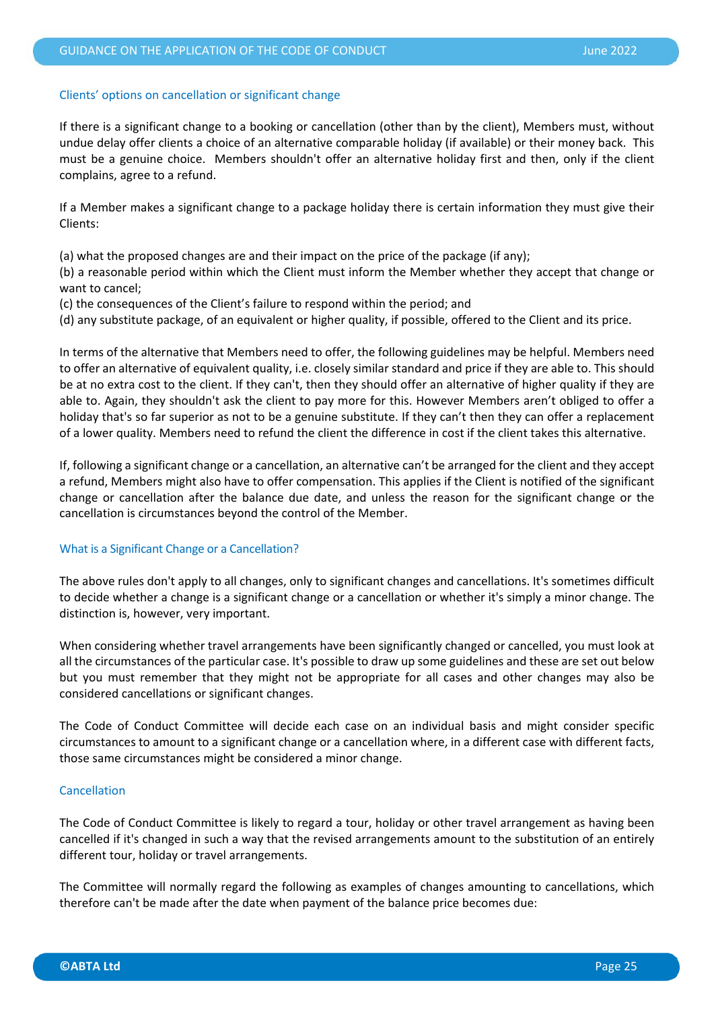#### Clients' options on cancellation or significant change

If there is a significant change to a booking or cancellation (other than by the client), Members must, without undue delay offer clients a choice of an alternative comparable holiday (if available) or their money back. This must be a genuine choice. Members shouldn't offer an alternative holiday first and then, only if the client complains, agree to a refund.

If a Member makes a significant change to a package holiday there is certain information they must give their Clients:

(a) what the proposed changes are and their impact on the price of the package (if any);

(b) a reasonable period within which the Client must inform the Member whether they accept that change or want to cancel;

- (c) the consequences of the Client's failure to respond within the period; and
- (d) any substitute package, of an equivalent or higher quality, if possible, offered to the Client and its price.

In terms of the alternative that Members need to offer, the following guidelines may be helpful. Members need to offer an alternative of equivalent quality, i.e. closely similar standard and price if they are able to. This should be at no extra cost to the client. If they can't, then they should offer an alternative of higher quality if they are able to. Again, they shouldn't ask the client to pay more for this. However Members aren't obliged to offer a holiday that's so far superior as not to be a genuine substitute. If they can't then they can offer a replacement of a lower quality. Members need to refund the client the difference in cost if the client takes this alternative.

If, following a significant change or a cancellation, an alternative can't be arranged for the client and they accept a refund, Members might also have to offer compensation. This applies if the Client is notified of the significant change or cancellation after the balance due date, and unless the reason for the significant change or the cancellation is circumstances beyond the control of the Member.

#### What is a Significant Change or a Cancellation?

The above rules don't apply to all changes, only to significant changes and cancellations. It's sometimes difficult to decide whether a change is a significant change or a cancellation or whether it's simply a minor change. The distinction is, however, very important.

When considering whether travel arrangements have been significantly changed or cancelled, you must look at all the circumstances of the particular case. It's possible to draw up some guidelines and these are set out below but you must remember that they might not be appropriate for all cases and other changes may also be considered cancellations or significant changes.

The Code of Conduct Committee will decide each case on an individual basis and might consider specific circumstances to amount to a significant change or a cancellation where, in a different case with different facts, those same circumstances might be considered a minor change.

#### Cancellation

The Code of Conduct Committee is likely to regard a tour, holiday or other travel arrangement as having been cancelled if it's changed in such a way that the revised arrangements amount to the substitution of an entirely different tour, holiday or travel arrangements.

The Committee will normally regard the following as examples of changes amounting to cancellations, which therefore can't be made after the date when payment of the balance price becomes due: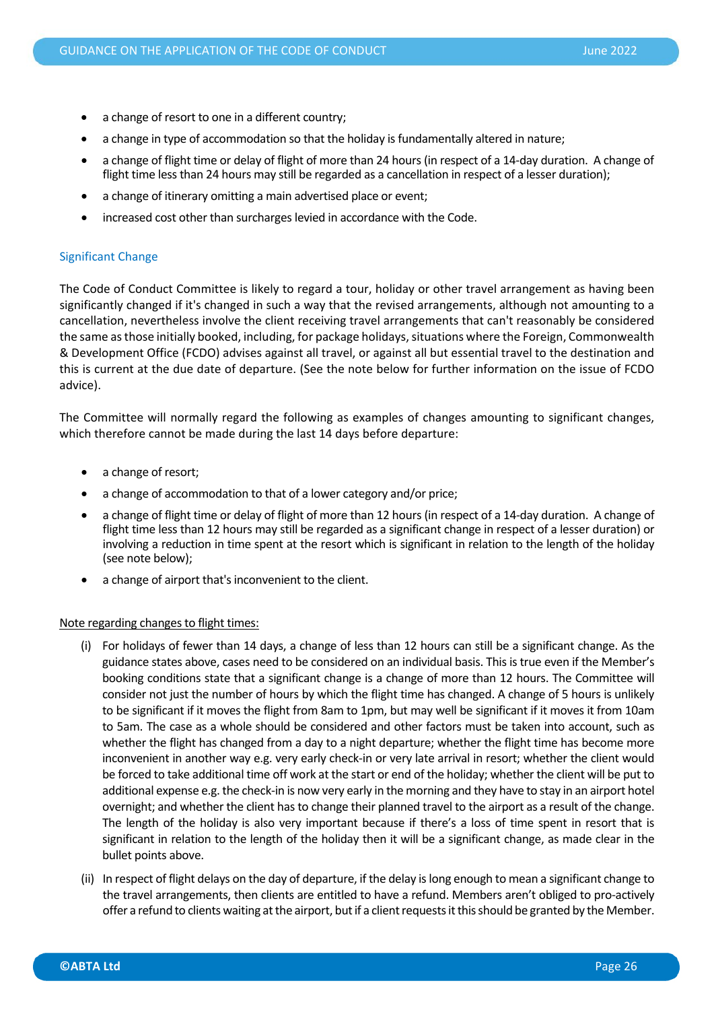- a change of resort to one in a different country;
- a change in type of accommodation so that the holiday is fundamentally altered in nature;
- a change of flight time or delay of flight of more than 24 hours (in respect of a 14-day duration. A change of flight time less than 24 hours may still be regarded as a cancellation in respect of a lesser duration);
- a change of itinerary omitting a main advertised place or event;
- increased cost other than surcharges levied in accordance with the Code.

#### Significant Change

The Code of Conduct Committee is likely to regard a tour, holiday or other travel arrangement as having been significantly changed if it's changed in such a way that the revised arrangements, although not amounting to a cancellation, nevertheless involve the client receiving travel arrangements that can't reasonably be considered the same as those initially booked, including, for package holidays, situations where the Foreign, Commonwealth & Development Office (FCDO) advises against all travel, or against all but essential travel to the destination and this is current at the due date of departure. (See the note below for further information on the issue of FCDO advice).

The Committee will normally regard the following as examples of changes amounting to significant changes, which therefore cannot be made during the last 14 days before departure:

- a change of resort;
- a change of accommodation to that of a lower category and/or price;
- a change of flight time or delay of flight of more than 12 hours (in respect of a 14-day duration. A change of flight time less than 12 hours may still be regarded as a significant change in respect of a lesser duration) or involving a reduction in time spent at the resort which is significant in relation to the length of the holiday (see note below);
- a change of airport that's inconvenient to the client.

#### Note regarding changes to flight times:

- (i) For holidays of fewer than 14 days, a change of less than 12 hours can still be a significant change. As the guidance states above, cases need to be considered on an individual basis. This is true even if the Member's booking conditions state that a significant change is a change of more than 12 hours. The Committee will consider not just the number of hours by which the flight time has changed. A change of 5 hours is unlikely to be significant if it moves the flight from 8am to 1pm, but may well be significant if it moves it from 10am to 5am. The case as a whole should be considered and other factors must be taken into account, such as whether the flight has changed from a day to a night departure; whether the flight time has become more inconvenient in another way e.g. very early check-in or very late arrival in resort; whether the client would be forced to take additional time off work at the start or end of the holiday; whether the client will be put to additional expense e.g. the check-in is now very early in the morning and they have to stay in an airport hotel overnight; and whether the client has to change their planned travel to the airport as a result of the change. The length of the holiday is also very important because if there's a loss of time spent in resort that is significant in relation to the length of the holiday then it will be a significant change, as made clear in the bullet points above.
- (ii) In respect of flight delays on the day of departure, if the delay is long enough to mean a significant change to the travel arrangements, then clients are entitled to have a refund. Members aren't obliged to pro-actively offer a refund to clients waiting at the airport, but if a client requests it this should be granted by the Member.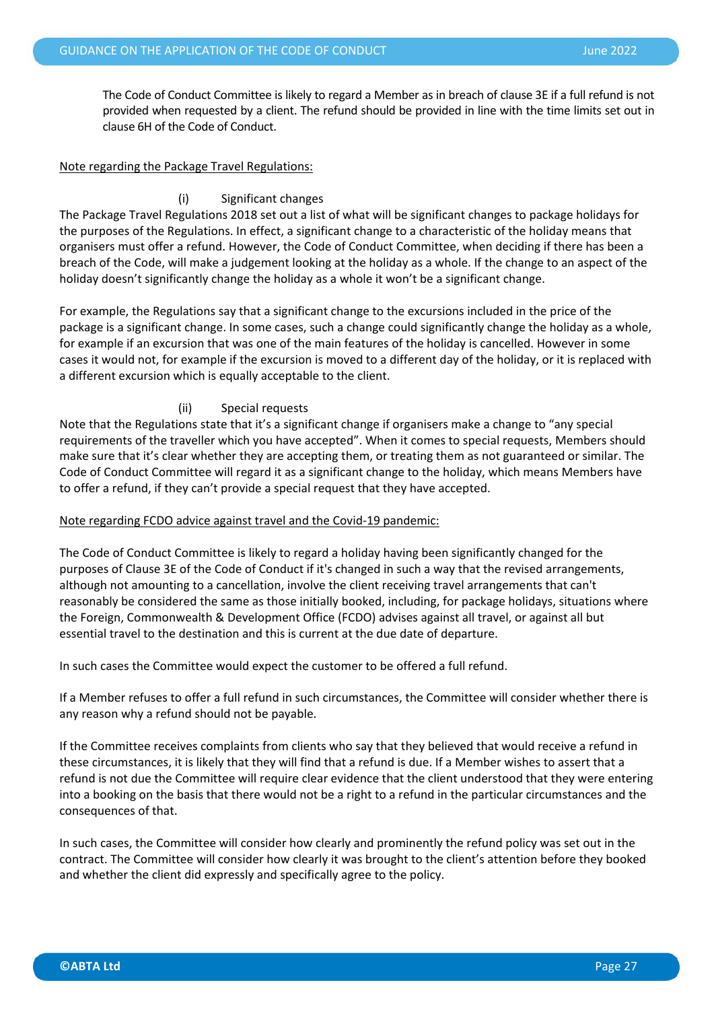The Code of Conduct Committee is likely to regard a Member as in breach of clause 3E if a full refund is not provided when requested by a client. The refund should be provided in line with the time limits set out in clause 6H of the Code of Conduct.

Note regarding the Package Travel Regulations:

#### (i) Significant changes

The Package Travel Regulations 2018 set out a list of what will be significant changes to package holidays for the purposes of the Regulations. In effect, a significant change to a characteristic of the holiday means that organisers must offer a refund. However, the Code of Conduct Committee, when deciding if there has been a breach of the Code, will make a judgement looking at the holiday as a whole. If the change to an aspect of the holiday doesn't significantly change the holiday as a whole it won't be a significant change.

For example, the Regulations say that a significant change to the excursions included in the price of the package is a significant change. In some cases, such a change could significantly change the holiday as a whole, for example if an excursion that was one of the main features of the holiday is cancelled. However in some cases it would not, for example if the excursion is moved to a different day of the holiday, or it is replaced with a different excursion which is equally acceptable to the client.

#### (ii) Special requests

Note that the Regulations state that it's a significant change if organisers make a change to "any special requirements of the traveller which you have accepted". When it comes to special requests, Members should make sure that it's clear whether they are accepting them, or treating them as not guaranteed or similar. The Code of Conduct Committee will regard it as a significant change to the holiday, which means Members have to offer a refund, if they can't provide a special request that they have accepted.

#### Note regarding FCDO advice against travel and the Covid-19 pandemic:

The Code of Conduct Committee is likely to regard a holiday having been significantly changed for the purposes of Clause 3E of the Code of Conduct if it's changed in such a way that the revised arrangements, although not amounting to a cancellation, involve the client receiving travel arrangements that can't reasonably be considered the same as those initially booked, including, for package holidays, situations where the Foreign, Commonwealth & Development Office (FCDO) advises against all travel, or against all but essential travel to the destination and this is current at the due date of departure.

In such cases the Committee would expect the customer to be offered a full refund.

If a Member refuses to offer a full refund in such circumstances, the Committee will consider whether there is any reason why a refund should not be payable.

If the Committee receives complaints from clients who say that they believed that would receive a refund in these circumstances, it is likely that they will find that a refund is due. If a Member wishes to assert that a refund is not due the Committee will require clear evidence that the client understood that they were entering into a booking on the basis that there would not be a right to a refund in the particular circumstances and the consequences of that.

In such cases, the Committee will consider how clearly and prominently the refund policy was set out in the contract. The Committee will consider how clearly it was brought to the client's attention before they booked and whether the client did expressly and specifically agree to the policy.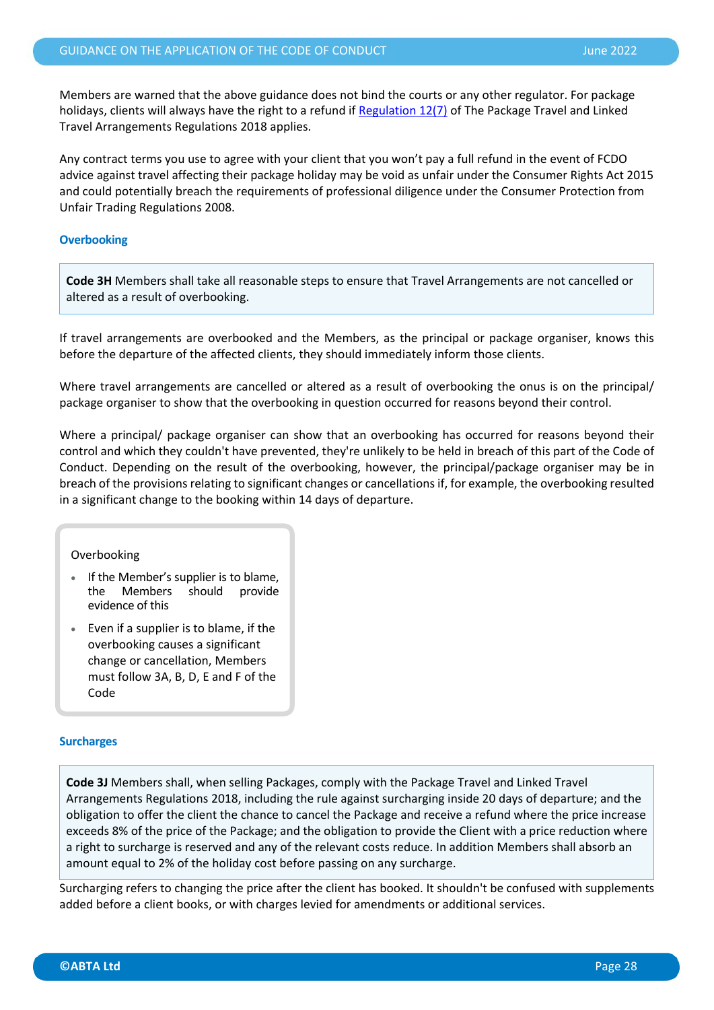Members are warned that the above guidance does not bind the courts or any other regulator. For package holidays, clients will always have the right to a refund if [Regulation 12\(7\)](https://www.legislation.gov.uk/uksi/2018/634/regulation/12/made) of The Package Travel and Linked Travel Arrangements Regulations 2018 applies.

Any contract terms you use to agree with your client that you won't pay a full refund in the event of FCDO advice against travel affecting their package holiday may be void as unfair under the Consumer Rights Act 2015 and could potentially breach the requirements of professional diligence under the Consumer Protection from Unfair Trading Regulations 2008.

#### **Overbooking**

**Code 3H** Members shall take all reasonable steps to ensure that Travel Arrangements are not cancelled or altered as a result of overbooking.

If travel arrangements are overbooked and the Members, as the principal or package organiser, knows this before the departure of the affected clients, they should immediately inform those clients.

Where travel arrangements are cancelled or altered as a result of overbooking the onus is on the principal/ package organiser to show that the overbooking in question occurred for reasons beyond their control.

Where a principal/ package organiser can show that an overbooking has occurred for reasons beyond their control and which they couldn't have prevented, they're unlikely to be held in breach of this part of the Code of Conduct. Depending on the result of the overbooking, however, the principal/package organiser may be in breach of the provisions relating to significant changes or cancellations if, for example, the overbooking resulted in a significant change to the booking within 14 days of departure.

#### Overbooking

- If the Member's supplier is to blame, the Members should provide evidence of this
- Even if a supplier is to blame, if the overbooking causes a significant change or cancellation, Members must follow 3A, B, D, E and F of the Code

#### **Surcharges**

**Code 3J** Members shall, when selling Packages, comply with the Package Travel and Linked Travel Arrangements Regulations 2018, including the rule against surcharging inside 20 days of departure; and the obligation to offer the client the chance to cancel the Package and receive a refund where the price increase exceeds 8% of the price of the Package; and the obligation to provide the Client with a price reduction where a right to surcharge is reserved and any of the relevant costs reduce. In addition Members shall absorb an amount equal to 2% of the holiday cost before passing on any surcharge.

Surcharging refers to changing the price after the client has booked. It shouldn't be confused with supplements added before a client books, or with charges levied for amendments or additional services.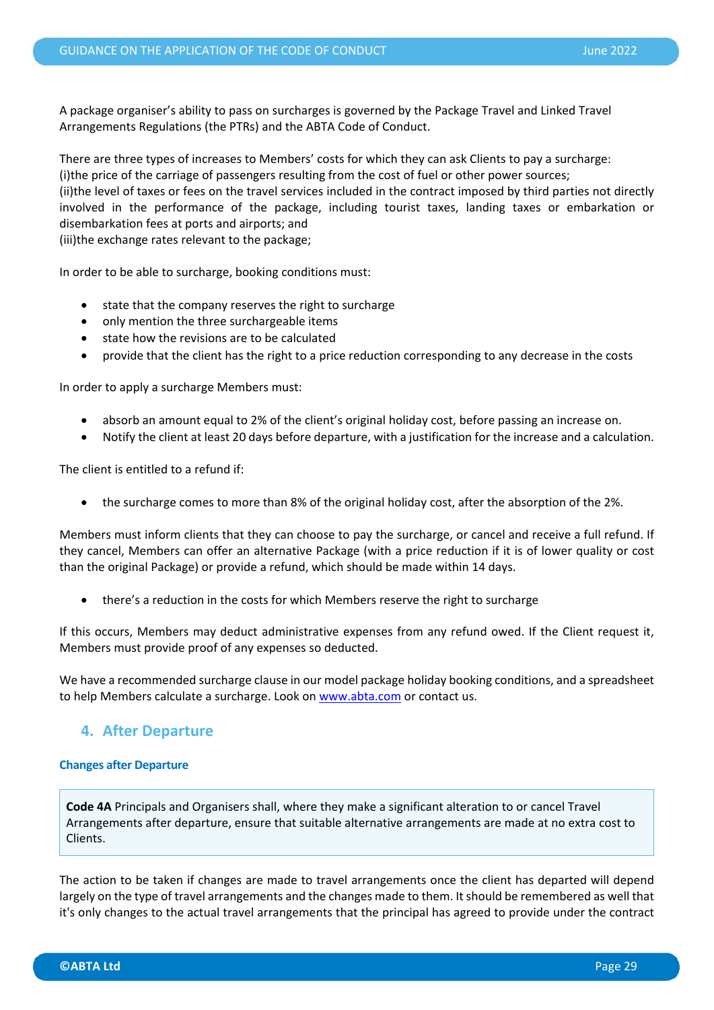A package organiser's ability to pass on surcharges is governed by the Package Travel and Linked Travel Arrangements Regulations (the PTRs) and the ABTA Code of Conduct.

There are three types of increases to Members' costs for which they can ask Clients to pay a surcharge: (i)the price of the carriage of passengers resulting from the cost of fuel or other power sources; (ii)the level of taxes or fees on the travel services included in the contract imposed by third parties not directly involved in the performance of the package, including tourist taxes, landing taxes or embarkation or disembarkation fees at ports and airports; and (iii)the exchange rates relevant to the package;

In order to be able to surcharge, booking conditions must:

- state that the company reserves the right to surcharge
- only mention the three surchargeable items
- state how the revisions are to be calculated
- provide that the client has the right to a price reduction corresponding to any decrease in the costs

In order to apply a surcharge Members must:

- absorb an amount equal to 2% of the client's original holiday cost, before passing an increase on.
- Notify the client at least 20 days before departure, with a justification for the increase and a calculation.

The client is entitled to a refund if:

• the surcharge comes to more than 8% of the original holiday cost, after the absorption of the 2%.

Members must inform clients that they can choose to pay the surcharge, or cancel and receive a full refund. If they cancel, Members can offer an alternative Package (with a price reduction if it is of lower quality or cost than the original Package) or provide a refund, which should be made within 14 days.

there's a reduction in the costs for which Members reserve the right to surcharge

If this occurs, Members may deduct administrative expenses from any refund owed. If the Client request it, Members must provide proof of any expenses so deducted.

We have a recommended surcharge clause in our model package holiday booking conditions, and a spreadsheet to help Members calculate a surcharge. Look on [www.abta.com](http://www.abta.com/) or contact us.

#### **4. After Departure**

#### **Changes after Departure**

**Code 4A** Principals and Organisers shall, where they make a significant alteration to or cancel Travel Arrangements after departure, ensure that suitable alternative arrangements are made at no extra cost to Clients.

The action to be taken if changes are made to travel arrangements once the client has departed will depend largely on the type of travel arrangements and the changes made to them. It should be remembered as well that it's only changes to the actual travel arrangements that the principal has agreed to provide under the contract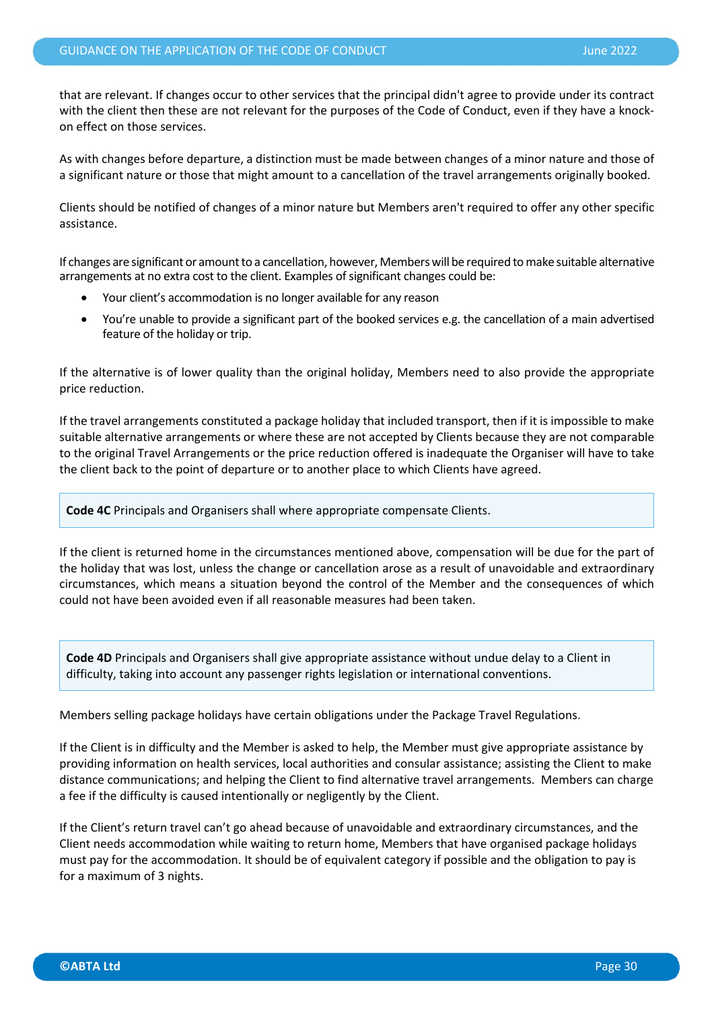that are relevant. If changes occur to other services that the principal didn't agree to provide under its contract with the client then these are not relevant for the purposes of the Code of Conduct, even if they have a knockon effect on those services.

As with changes before departure, a distinction must be made between changes of a minor nature and those of a significant nature or those that might amount to a cancellation of the travel arrangements originally booked.

Clients should be notified of changes of a minor nature but Members aren't required to offer any other specific assistance.

If changes are significant or amount to a cancellation, however, Members will be required tomake suitable alternative arrangements at no extra cost to the client. Examples of significant changes could be:

- Your client's accommodation is no longer available for any reason
- You're unable to provide a significant part of the booked services e.g. the cancellation of a main advertised feature of the holiday or trip.

If the alternative is of lower quality than the original holiday, Members need to also provide the appropriate price reduction.

If the travel arrangements constituted a package holiday that included transport, then if it is impossible to make suitable alternative arrangements or where these are not accepted by Clients because they are not comparable to the original Travel Arrangements or the price reduction offered is inadequate the Organiser will have to take the client back to the point of departure or to another place to which Clients have agreed.

**Code 4C** Principals and Organisers shall where appropriate compensate Clients.

If the client is returned home in the circumstances mentioned above, compensation will be due for the part of the holiday that was lost, unless the change or cancellation arose as a result of unavoidable and extraordinary circumstances, which means a situation beyond the control of the Member and the consequences of which could not have been avoided even if all reasonable measures had been taken.

**Code 4D** Principals and Organisers shall give appropriate assistance without undue delay to a Client in difficulty, taking into account any passenger rights legislation or international conventions.

Members selling package holidays have certain obligations under the Package Travel Regulations.

If the Client is in difficulty and the Member is asked to help, the Member must give appropriate assistance by providing information on health services, local authorities and consular assistance; assisting the Client to make distance communications; and helping the Client to find alternative travel arrangements. Members can charge a fee if the difficulty is caused intentionally or negligently by the Client.

If the Client's return travel can't go ahead because of unavoidable and extraordinary circumstances, and the Client needs accommodation while waiting to return home, Members that have organised package holidays must pay for the accommodation. It should be of equivalent category if possible and the obligation to pay is for a maximum of 3 nights.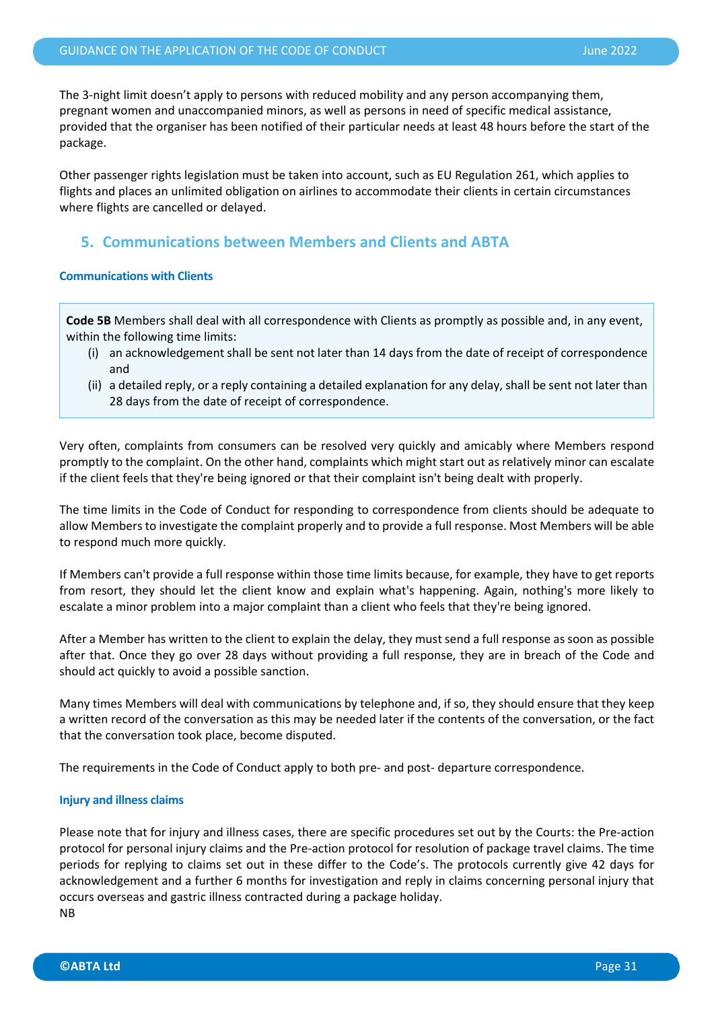The 3-night limit doesn't apply to persons with reduced mobility and any person accompanying them, pregnant women and unaccompanied minors, as well as persons in need of specific medical assistance, provided that the organiser has been notified of their particular needs at least 48 hours before the start of the package.

Other passenger rights legislation must be taken into account, such as EU Regulation 261, which applies to flights and places an unlimited obligation on airlines to accommodate their clients in certain circumstances where flights are cancelled or delayed.

#### **5. Communications between Members and Clients and ABTA**

#### **Communications with Clients**

**Code 5B** Members shall deal with all correspondence with Clients as promptly as possible and, in any event, within the following time limits:

- (i) an acknowledgement shall be sent not later than 14 days from the date of receipt of correspondence and
- (ii) a detailed reply, or a reply containing a detailed explanation for any delay, shall be sent not later than 28 days from the date of receipt of correspondence.

Very often, complaints from consumers can be resolved very quickly and amicably where Members respond promptly to the complaint. On the other hand, complaints which might start out as relatively minor can escalate if the client feels that they're being ignored or that their complaint isn't being dealt with properly.

The time limits in the Code of Conduct for responding to correspondence from clients should be adequate to allow Members to investigate the complaint properly and to provide a full response. Most Members will be able to respond much more quickly.

If Members can't provide a full response within those time limits because, for example, they have to get reports from resort, they should let the client know and explain what's happening. Again, nothing's more likely to escalate a minor problem into a major complaint than a client who feels that they're being ignored.

After a Member has written to the client to explain the delay, they must send a full response as soon as possible after that. Once they go over 28 days without providing a full response, they are in breach of the Code and should act quickly to avoid a possible sanction.

Many times Members will deal with communications by telephone and, if so, they should ensure that they keep a written record of the conversation as this may be needed later if the contents of the conversation, or the fact that the conversation took place, become disputed.

The requirements in the Code of Conduct apply to both pre- and post- departure correspondence.

#### **Injury and illness claims**

Please note that for injury and illness cases, there are specific procedures set out by the Courts: the Pre-action protocol for personal injury claims and the Pre-action protocol for resolution of package travel claims. The time periods for replying to claims set out in these differ to the Code's. The protocols currently give 42 days for acknowledgement and a further 6 months for investigation and reply in claims concerning personal injury that occurs overseas and gastric illness contracted during a package holiday. NB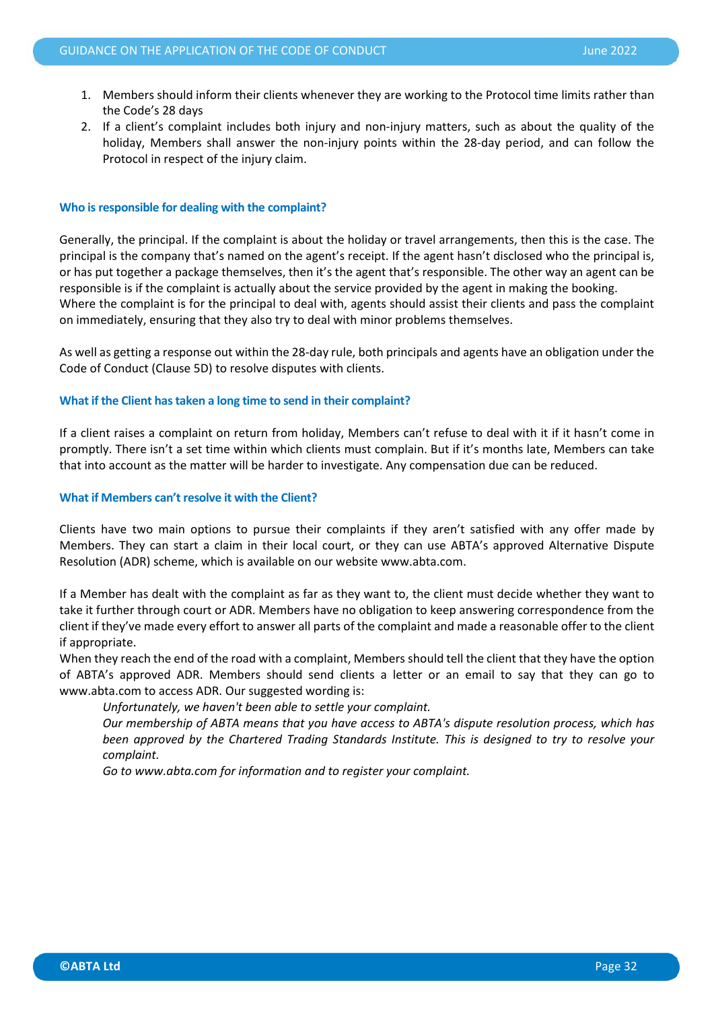- 1. Members should inform their clients whenever they are working to the Protocol time limits rather than the Code's 28 days
- 2. If a client's complaint includes both injury and non-injury matters, such as about the quality of the holiday, Members shall answer the non-injury points within the 28-day period, and can follow the Protocol in respect of the injury claim.

#### **Who is responsible for dealing with the complaint?**

Generally, the principal. If the complaint is about the holiday or travel arrangements, then this is the case. The principal is the company that's named on the agent's receipt. If the agent hasn't disclosed who the principal is, or has put together a package themselves, then it's the agent that's responsible. The other way an agent can be responsible is if the complaint is actually about the service provided by the agent in making the booking. Where the complaint is for the principal to deal with, agents should assist their clients and pass the complaint on immediately, ensuring that they also try to deal with minor problems themselves.

As well as getting a response out within the 28-day rule, both principals and agents have an obligation under the Code of Conduct (Clause 5D) to resolve disputes with clients.

#### **What if the Client has taken a long time to send in their complaint?**

If a client raises a complaint on return from holiday, Members can't refuse to deal with it if it hasn't come in promptly. There isn't a set time within which clients must complain. But if it's months late, Members can take that into account as the matter will be harder to investigate. Any compensation due can be reduced.

#### **What if Members can't resolve it with the Client?**

Clients have two main options to pursue their complaints if they aren't satisfied with any offer made by Members. They can start a claim in their local court, or they can use ABTA's approved Alternative Dispute Resolution (ADR) scheme, which is available on our website www.abta.com.

If a Member has dealt with the complaint as far as they want to, the client must decide whether they want to take it further through court or ADR. Members have no obligation to keep answering correspondence from the client if they've made every effort to answer all parts of the complaint and made a reasonable offer to the client if appropriate.

When they reach the end of the road with a complaint, Members should tell the client that they have the option of ABTA's approved ADR. Members should send clients a letter or an email to say that they can go to www.abta.com to access ADR. Our suggested wording is:

*Unfortunately, we haven't been able to settle your complaint.*

*Our membership of ABTA means that you have access to ABTA's dispute resolution process, which has been approved by the Chartered Trading Standards Institute. This is designed to try to resolve your complaint.*

*Go to www.abta.com for information and to register your complaint.*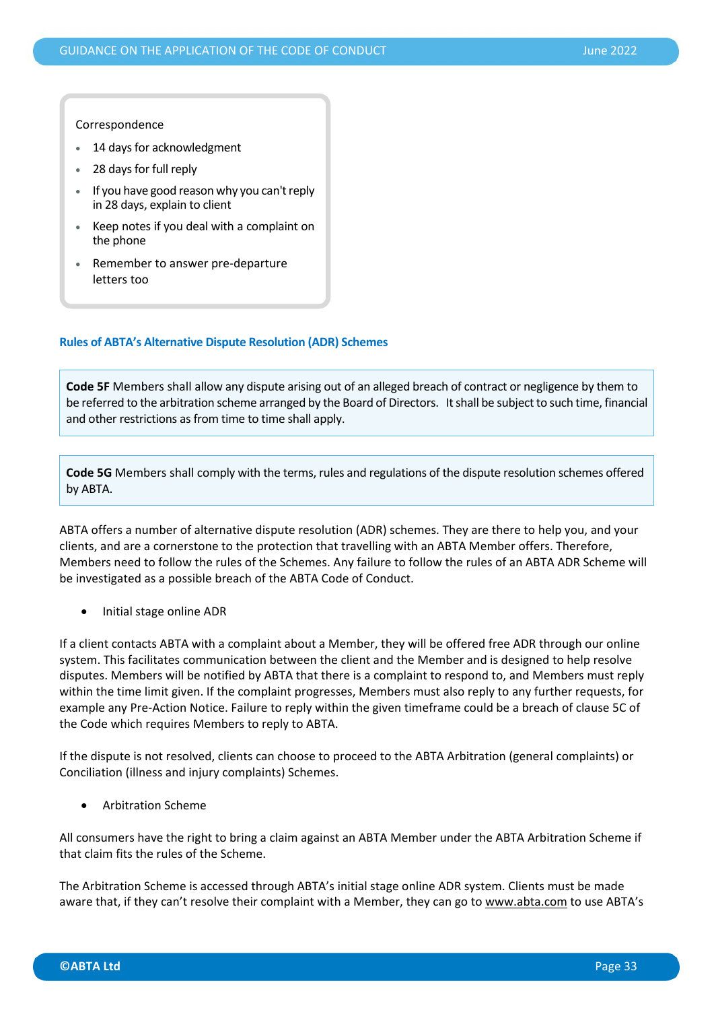Correspondence

- 14 days for acknowledgment
- 28 days for full reply
- If you have good reason why you can't reply in 28 days, explain to client
- Keep notes if you deal with a complaint on the phone
- Remember to answer pre-departure letters too

#### **Rules of ABTA's Alternative Dispute Resolution (ADR) Schemes**

**Code 5F** Members shall allow any dispute arising out of an alleged breach of contract or negligence by them to be referred to the arbitration scheme arranged by the Board of Directors. It shall be subject to such time, financial and other restrictions as from time to time shall apply.

**Code 5G** Members shall comply with the terms, rules and regulations of the dispute resolution schemes offered by ABTA.

ABTA offers a number of alternative dispute resolution (ADR) schemes. They are there to help you, and your clients, and are a cornerstone to the protection that travelling with an ABTA Member offers. Therefore, Members need to follow the rules of the Schemes. Any failure to follow the rules of an ABTA ADR Scheme will be investigated as a possible breach of the ABTA Code of Conduct.

• Initial stage online ADR

If a client contacts ABTA with a complaint about a Member, they will be offered free ADR through our online system. This facilitates communication between the client and the Member and is designed to help resolve disputes. Members will be notified by ABTA that there is a complaint to respond to, and Members must reply within the time limit given. If the complaint progresses, Members must also reply to any further requests, for example any Pre-Action Notice. Failure to reply within the given timeframe could be a breach of clause 5C of the Code which requires Members to reply to ABTA.

If the dispute is not resolved, clients can choose to proceed to the ABTA Arbitration (general complaints) or Conciliation (illness and injury complaints) Schemes.

• Arbitration Scheme

All consumers have the right to bring a claim against an ABTA Member under the ABTA Arbitration Scheme if that claim fits the rules of the Scheme.

The Arbitration Scheme is accessed through ABTA's initial stage online ADR system. Clients must be made aware that, if they can't resolve their complaint with a Member, they can go to [www.abta.com](http://www.abta.com/) to use ABTA's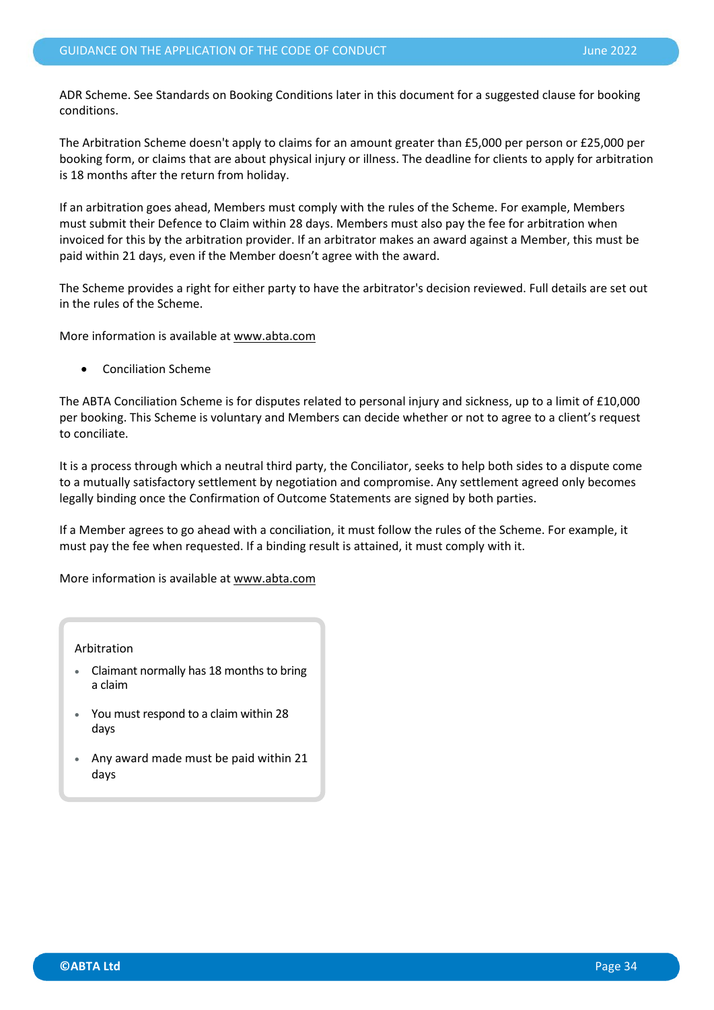ADR Scheme. See Standards on Booking Conditions later in this document for a suggested clause for booking conditions.

The Arbitration Scheme doesn't apply to claims for an amount greater than £5,000 per person or £25,000 per booking form, or claims that are about physical injury or illness. The deadline for clients to apply for arbitration is 18 months after the return from holiday.

If an arbitration goes ahead, Members must comply with the rules of the Scheme. For example, Members must submit their Defence to Claim within 28 days. Members must also pay the fee for arbitration when invoiced for this by the arbitration provider. If an arbitrator makes an award against a Member, this must be paid within 21 days, even if the Member doesn't agree with the award.

The Scheme provides a right for either party to have the arbitrator's decision reviewed. Full details are set out in the rules of the Scheme.

More information is available at [www.abta.com](http://www.abta.com/)

• Conciliation Scheme

The ABTA Conciliation Scheme is for disputes related to personal injury and sickness, up to a limit of £10,000 per booking. This Scheme is voluntary and Members can decide whether or not to agree to a client's request to conciliate.

It is a process through which a neutral third party, the Conciliator, seeks to help both sides to a dispute come to a mutually satisfactory settlement by negotiation and compromise. Any settlement agreed only becomes legally binding once the Confirmation of Outcome Statements are signed by both parties.

If a Member agrees to go ahead with a conciliation, it must follow the rules of the Scheme. For example, it must pay the fee when requested. If a binding result is attained, it must comply with it.

More information is available at [www.abta.com](http://www.abta.com/)

#### Arbitration

- Claimant normally has 18 months to bring a claim
- You must respond to a claim within 28 days
- Any award made must be paid within 21 days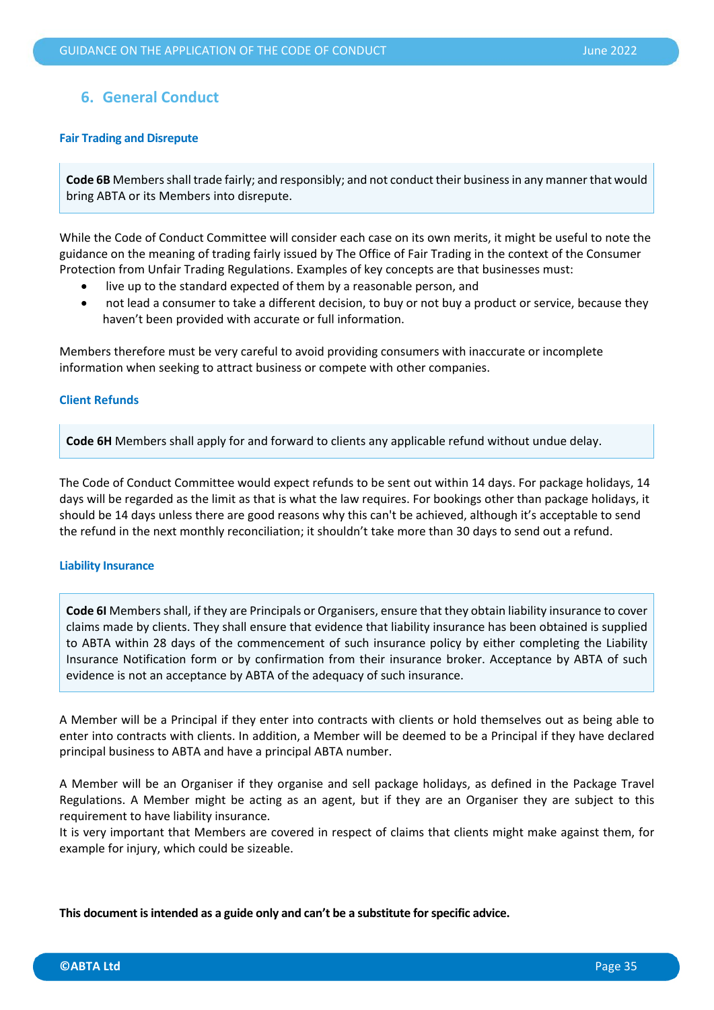#### **6. General Conduct**

#### **Fair Trading and Disrepute**

**Code 6B** Members shall trade fairly; and responsibly; and not conduct their business in any manner that would bring ABTA or its Members into disrepute.

While the Code of Conduct Committee will consider each case on its own merits, it might be useful to note the guidance on the meaning of trading fairly issued by The Office of Fair Trading in the context of the Consumer Protection from Unfair Trading Regulations. Examples of key concepts are that businesses must:

- live up to the standard expected of them by a reasonable person, and
- not lead a consumer to take a different decision, to buy or not buy a product or service, because they haven't been provided with accurate or full information.

Members therefore must be very careful to avoid providing consumers with inaccurate or incomplete information when seeking to attract business or compete with other companies.

#### **Client Refunds**

**Code 6H** Members shall apply for and forward to clients any applicable refund without undue delay.

The Code of Conduct Committee would expect refunds to be sent out within 14 days. For package holidays, 14 days will be regarded as the limit as that is what the law requires. For bookings other than package holidays, it should be 14 days unless there are good reasons why this can't be achieved, although it's acceptable to send the refund in the next monthly reconciliation; it shouldn't take more than 30 days to send out a refund.

#### **Liability Insurance**

**Code 6I** Members shall, if they are Principals or Organisers, ensure that they obtain liability insurance to cover claims made by clients. They shall ensure that evidence that liability insurance has been obtained is supplied to ABTA within 28 days of the commencement of such insurance policy by either completing the Liability Insurance Notification form or by confirmation from their insurance broker. Acceptance by ABTA of such evidence is not an acceptance by ABTA of the adequacy of such insurance.

A Member will be a Principal if they enter into contracts with clients or hold themselves out as being able to enter into contracts with clients. In addition, a Member will be deemed to be a Principal if they have declared principal business to ABTA and have a principal ABTA number.

A Member will be an Organiser if they organise and sell package holidays, as defined in the Package Travel Regulations. A Member might be acting as an agent, but if they are an Organiser they are subject to this requirement to have liability insurance.

It is very important that Members are covered in respect of claims that clients might make against them, for example for injury, which could be sizeable.

**This document is intended as a guide only and can't be a substitute for specific advice.**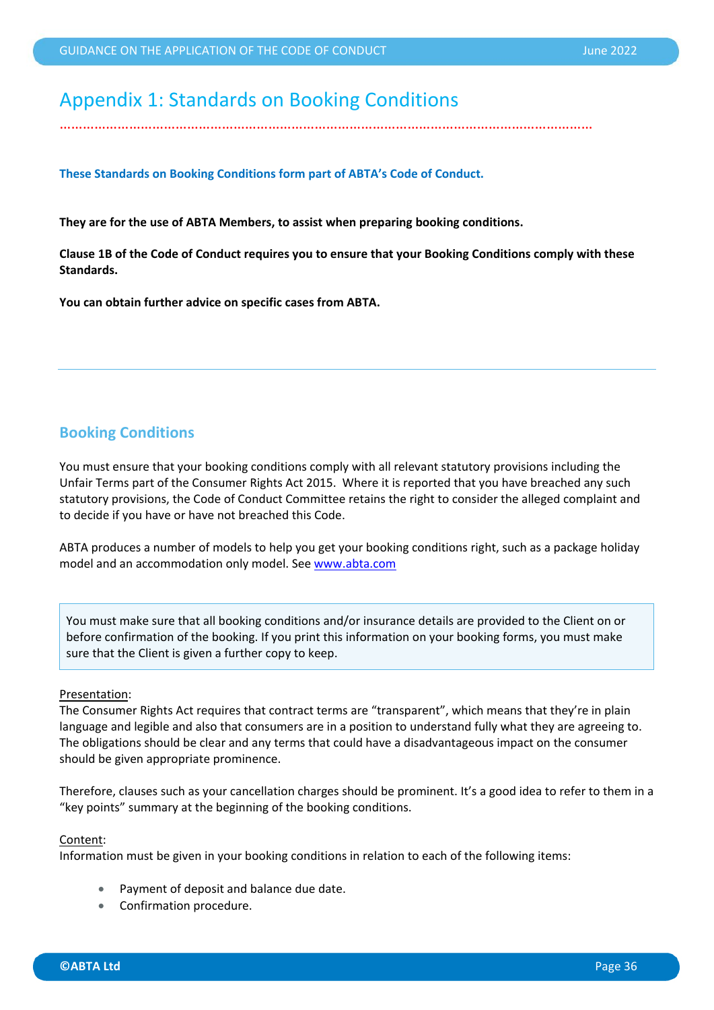# Appendix 1: Standards on Booking Conditions

…………………………………………………………………………………………………………………………

#### **These Standards on Booking Conditions form part of ABTA's Code of Conduct.**

**They are for the use of ABTA Members, to assist when preparing booking conditions.** 

**Clause 1B of the Code of Conduct requires you to ensure that your Booking Conditions comply with these Standards.** 

**You can obtain further advice on specific cases from ABTA.**

#### **Booking Conditions**

You must ensure that your booking conditions comply with all relevant statutory provisions including the Unfair Terms part of the Consumer Rights Act 2015. Where it is reported that you have breached any such statutory provisions, the Code of Conduct Committee retains the right to consider the alleged complaint and to decide if you have or have not breached this Code.

ABTA produces a number of models to help you get your booking conditions right, such as a package holiday model and an accommodation only model. See [www.abta.com](http://www.abta.com/) 

You must make sure that all booking conditions and/or insurance details are provided to the Client on or before confirmation of the booking. If you print this information on your booking forms, you must make sure that the Client is given a further copy to keep.

#### Presentation:

The Consumer Rights Act requires that contract terms are "transparent", which means that they're in plain language and legible and also that consumers are in a position to understand fully what they are agreeing to. The obligations should be clear and any terms that could have a disadvantageous impact on the consumer should be given appropriate prominence.

Therefore, clauses such as your cancellation charges should be prominent. It's a good idea to refer to them in a "key points" summary at the beginning of the booking conditions.

#### Content:

Information must be given in your booking conditions in relation to each of the following items:

- Payment of deposit and balance due date.
- Confirmation procedure.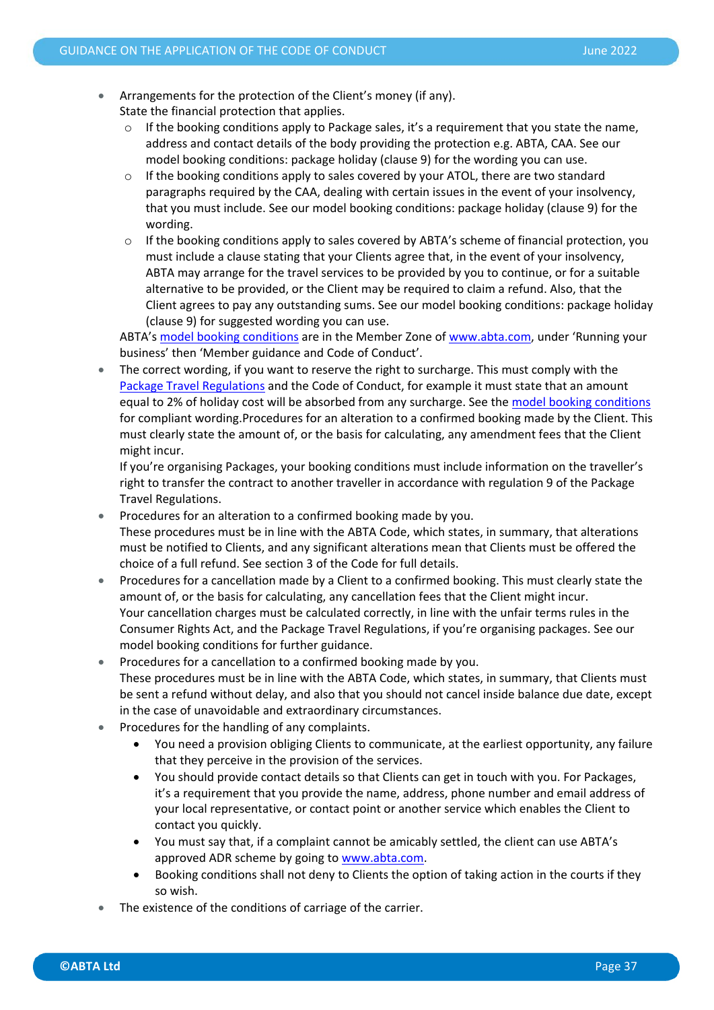- Arrangements for the protection of the Client's money (if any). State the financial protection that applies.
	- $\circ$  If the booking conditions apply to Package sales, it's a requirement that you state the name, address and contact details of the body providing the protection e.g. ABTA, CAA. See our model booking conditions: package holiday (clause 9) for the wording you can use.
	- o If the booking conditions apply to sales covered by your ATOL, there are two standard paragraphs required by the CAA, dealing with certain issues in the event of your insolvency, that you must include. See our model booking conditions: package holiday (clause 9) for the wording.
	- $\circ$  If the booking conditions apply to sales covered by ABTA's scheme of financial protection, you must include a clause stating that your Clients agree that, in the event of your insolvency, ABTA may arrange for the travel services to be provided by you to continue, or for a suitable alternative to be provided, or the Client may be required to claim a refund. Also, that the Client agrees to pay any outstanding sums. See our model booking conditions: package holiday (clause 9) for suggested wording you can use.

ABTA's [model booking conditions](https://www.abta.com/member-zone/running-your-business/model-documents-and-checklists) are in the Member Zone o[f www.abta.com,](http://www.abta.com/) under 'Running your business' then 'Member guidance and Code of Conduct'.

The correct wording, if you want to reserve the right to surcharge. This must comply with the [Package Travel Regulations](https://www.legislation.gov.uk/uksi/2018/634/regulation/10/made) and the Code of Conduct, for example it must state that an amount equal to 2% of holiday cost will be absorbed from any surcharge. See the [model booking conditions](https://www.abta.com/member-zone/running-your-business/model-documents-and-checklists) for compliant wording.Procedures for an alteration to a confirmed booking made by the Client. This must clearly state the amount of, or the basis for calculating, any amendment fees that the Client might incur.

If you're organising Packages, your booking conditions must include information on the traveller's right to transfer the contract to another traveller in accordance with regulation 9 of the Package Travel Regulations.

- Procedures for an alteration to a confirmed booking made by you. These procedures must be in line with the ABTA Code, which states, in summary, that alterations must be notified to Clients, and any significant alterations mean that Clients must be offered the choice of a full refund. See section 3 of the Code for full details.
- Procedures for a cancellation made by a Client to a confirmed booking. This must clearly state the amount of, or the basis for calculating, any cancellation fees that the Client might incur. Your cancellation charges must be calculated correctly, in line with the unfair terms rules in the Consumer Rights Act, and the Package Travel Regulations, if you're organising packages. See our model booking conditions for further guidance.
- Procedures for a cancellation to a confirmed booking made by you. These procedures must be in line with the ABTA Code, which states, in summary, that Clients must be sent a refund without delay, and also that you should not cancel inside balance due date, except in the case of unavoidable and extraordinary circumstances.
- Procedures for the handling of any complaints.
	- You need a provision obliging Clients to communicate, at the earliest opportunity, any failure that they perceive in the provision of the services.
	- You should provide contact details so that Clients can get in touch with you. For Packages, it's a requirement that you provide the name, address, phone number and email address of your local representative, or contact point or another service which enables the Client to contact you quickly.
	- You must say that, if a complaint cannot be amicably settled, the client can use ABTA's approved ADR scheme by going to [www.abta.com.](http://www.abta.com/)
	- Booking conditions shall not deny to Clients the option of taking action in the courts if they so wish.
- The existence of the conditions of carriage of the carrier.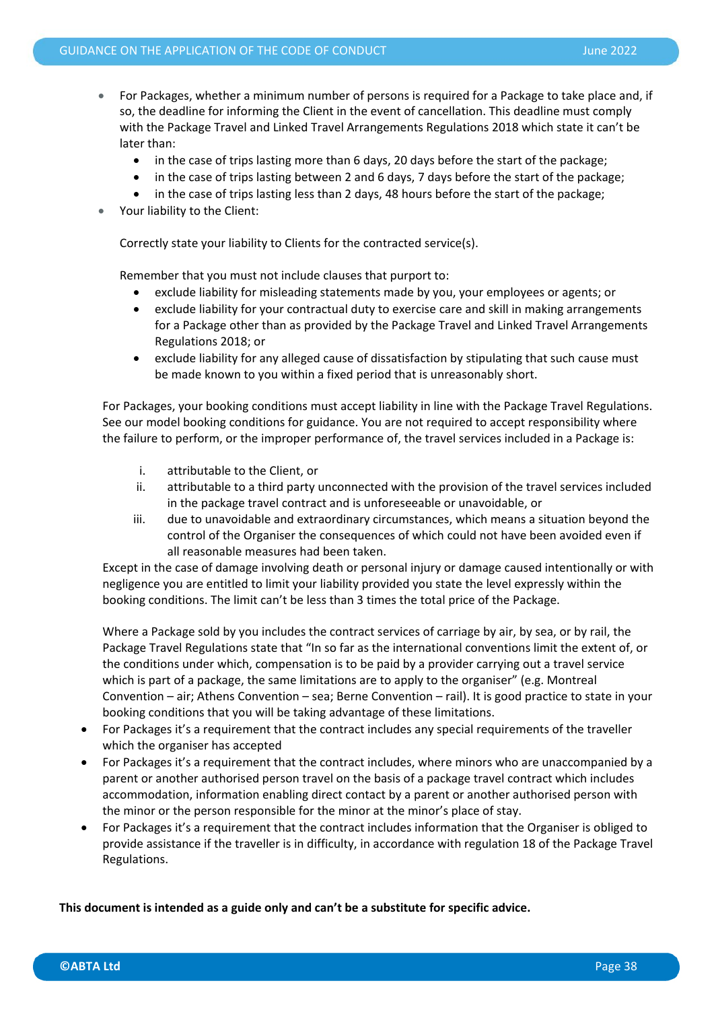- For Packages, whether a minimum number of persons is required for a Package to take place and, if so, the deadline for informing the Client in the event of cancellation. This deadline must comply with the Package Travel and Linked Travel Arrangements Regulations 2018 which state it can't be later than:
	- in the case of trips lasting more than 6 days, 20 days before the start of the package;
	- in the case of trips lasting between 2 and 6 days, 7 days before the start of the package;
	- in the case of trips lasting less than 2 days, 48 hours before the start of the package;
- Your liability to the Client:

Correctly state your liability to Clients for the contracted service(s).

Remember that you must not include clauses that purport to:

- exclude liability for misleading statements made by you, your employees or agents; or
- exclude liability for your contractual duty to exercise care and skill in making arrangements for a Package other than as provided by the Package Travel and Linked Travel Arrangements Regulations 2018; or
- exclude liability for any alleged cause of dissatisfaction by stipulating that such cause must be made known to you within a fixed period that is unreasonably short.

For Packages, your booking conditions must accept liability in line with the Package Travel Regulations. See our model booking conditions for guidance. You are not required to accept responsibility where the failure to perform, or the improper performance of, the travel services included in a Package is:

- i. attributable to the Client, or
- ii. attributable to a third party unconnected with the provision of the travel services included in the package travel contract and is unforeseeable or unavoidable, or
- iii. due to unavoidable and extraordinary circumstances, which means a situation beyond the control of the Organiser the consequences of which could not have been avoided even if all reasonable measures had been taken.

Except in the case of damage involving death or personal injury or damage caused intentionally or with negligence you are entitled to limit your liability provided you state the level expressly within the booking conditions. The limit can't be less than 3 times the total price of the Package.

Where a Package sold by you includes the contract services of carriage by air, by sea, or by rail, the Package Travel Regulations state that "In so far as the international conventions limit the extent of, or the conditions under which, compensation is to be paid by a provider carrying out a travel service which is part of a package, the same limitations are to apply to the organiser" (e.g. Montreal Convention – air; Athens Convention – sea; Berne Convention – rail). It is good practice to state in your booking conditions that you will be taking advantage of these limitations.

- For Packages it's a requirement that the contract includes any special requirements of the traveller which the organiser has accepted
- For Packages it's a requirement that the contract includes, where minors who are unaccompanied by a parent or another authorised person travel on the basis of a package travel contract which includes accommodation, information enabling direct contact by a parent or another authorised person with the minor or the person responsible for the minor at the minor's place of stay.
- For Packages it's a requirement that the contract includes information that the Organiser is obliged to provide assistance if the traveller is in difficulty, in accordance with regulation 18 of the Package Travel Regulations.

**This document is intended as a guide only and can't be a substitute for specific advice.**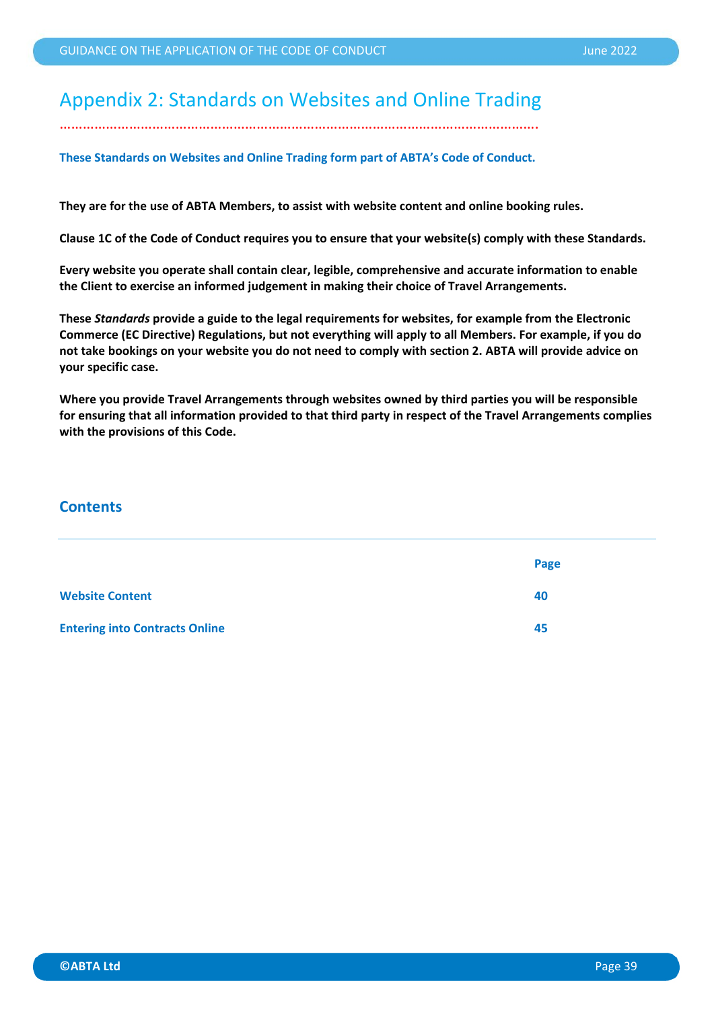# Appendix 2: Standards on Websites and Online Trading

…………………………………………………………………………………………………………….

**These Standards on Websites and Online Trading form part of ABTA's Code of Conduct.**

**They are for the use of ABTA Members, to assist with website content and online booking rules.** 

**Clause 1C of the Code of Conduct requires you to ensure that your website(s) comply with these Standards.** 

**Every website you operate shall contain clear, legible, comprehensive and accurate information to enable the Client to exercise an informed judgement in making their choice of Travel Arrangements.** 

**These** *Standards* **provide a guide to the legal requirements for websites, for example from the Electronic Commerce (EC Directive) Regulations, but not everything will apply to all Members. For example, if you do not take bookings on your website you do not need to comply with section 2. ABTA will provide advice on your specific case.** 

**Where you provide Travel Arrangements through websites owned by third parties you will be responsible for ensuring that all information provided to that third party in respect of the Travel Arrangements complies with the provisions of this Code.**

#### **Contents**

|                                       | Page |
|---------------------------------------|------|
| <b>Website Content</b>                | 40   |
| <b>Entering into Contracts Online</b> | 45   |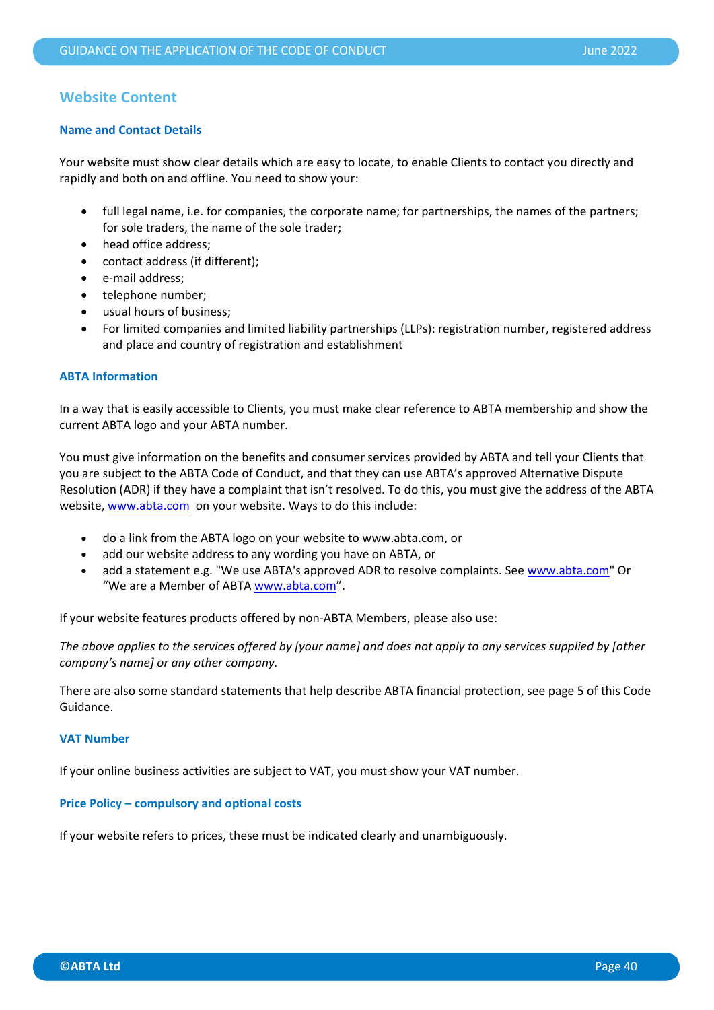#### **Website Content**

#### **Name and Contact Details**

Your website must show clear details which are easy to locate, to enable Clients to contact you directly and rapidly and both on and offline. You need to show your:

- full legal name, i.e. for companies, the corporate name; for partnerships, the names of the partners; for sole traders, the name of the sole trader;
- head office address:
- contact address (if different);
- e-mail address;
- telephone number;
- usual hours of business:
- For limited companies and limited liability partnerships (LLPs): registration number, registered address and place and country of registration and establishment

#### **ABTA Information**

In a way that is easily accessible to Clients, you must make clear reference to ABTA membership and show the current ABTA logo and your ABTA number.

You must give information on the benefits and consumer services provided by ABTA and tell your Clients that you are subject to the ABTA Code of Conduct, and that they can use ABTA's approved Alternative Dispute Resolution (ADR) if they have a complaint that isn't resolved. To do this, you must give the address of the ABTA website, [www.abta.com](http://www.abta.com/) on your website. Ways to do this include:

- do a link from the ABTA logo on your website to www.abta.com, or
- add our website address to any wording you have on ABTA, or
- add a statement e.g. "We use ABTA's approved ADR to resolve complaints. See [www.abta.com"](http://www.abta.com/) Or "We are a Member of ABTA [www.abta.com"](http://www.abta.com/).

If your website features products offered by non-ABTA Members, please also use:

*The above applies to the services offered by [your name] and does not apply to any services supplied by [other company's name] or any other company.*

There are also some standard statements that help describe ABTA financial protection, see page 5 of this Code Guidance.

#### **VAT Number**

If your online business activities are subject to VAT, you must show your VAT number.

#### **Price Policy – compulsory and optional costs**

If your website refers to prices, these must be indicated clearly and unambiguously.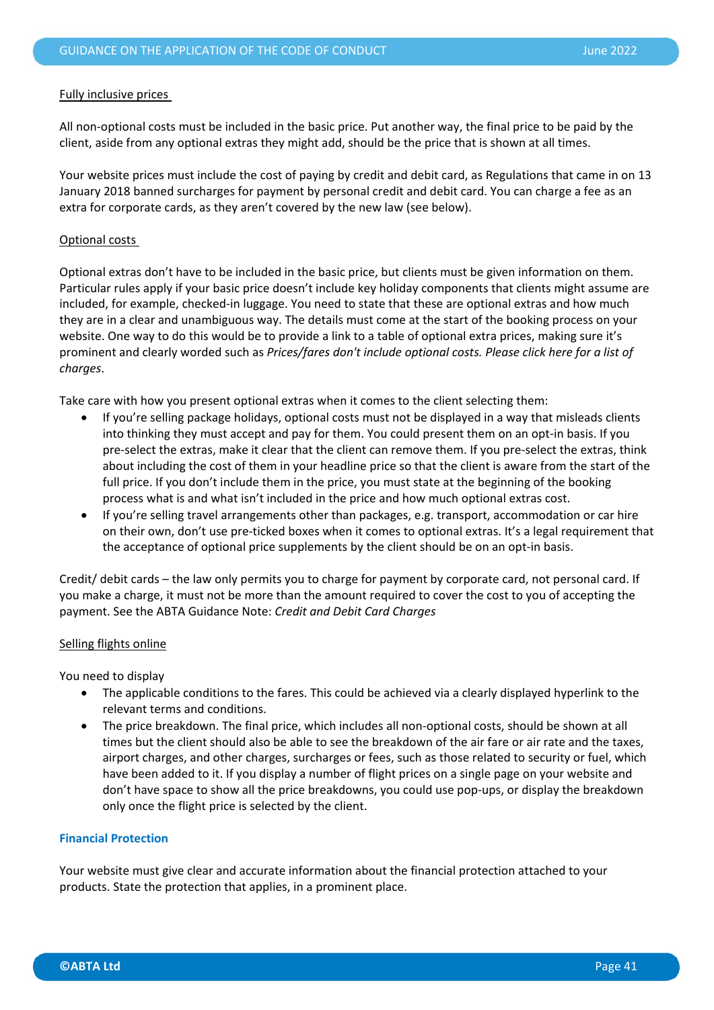#### Fully inclusive prices

All non-optional costs must be included in the basic price. Put another way, the final price to be paid by the client, aside from any optional extras they might add, should be the price that is shown at all times.

Your website prices must include the cost of paying by credit and debit card, as Regulations that came in on 13 January 2018 banned surcharges for payment by personal credit and debit card. You can charge a fee as an extra for corporate cards, as they aren't covered by the new law (see below).

#### Optional costs

Optional extras don't have to be included in the basic price, but clients must be given information on them. Particular rules apply if your basic price doesn't include key holiday components that clients might assume are included, for example, checked-in luggage. You need to state that these are optional extras and how much they are in a clear and unambiguous way. The details must come at the start of the booking process on your website. One way to do this would be to provide a link to a table of optional extra prices, making sure it's prominent and clearly worded such as *Prices/fares don't include optional costs. Please click here for a list of charges*.

Take care with how you present optional extras when it comes to the client selecting them:

- If you're selling package holidays, optional costs must not be displayed in a way that misleads clients into thinking they must accept and pay for them. You could present them on an opt-in basis. If you pre-select the extras, make it clear that the client can remove them. If you pre-select the extras, think about including the cost of them in your headline price so that the client is aware from the start of the full price. If you don't include them in the price, you must state at the beginning of the booking process what is and what isn't included in the price and how much optional extras cost.
- If you're selling travel arrangements other than packages, e.g. transport, accommodation or car hire on their own, don't use pre-ticked boxes when it comes to optional extras. It's a legal requirement that the acceptance of optional price supplements by the client should be on an opt-in basis.

Credit/ debit cards – the law only permits you to charge for payment by corporate card, not personal card. If you make a charge, it must not be more than the amount required to cover the cost to you of accepting the payment. See the ABTA Guidance Note: *Credit and Debit Card Charges*

#### Selling flights online

You need to display

- The applicable conditions to the fares. This could be achieved via a clearly displayed hyperlink to the relevant terms and conditions.
- The price breakdown. The final price, which includes all non-optional costs, should be shown at all times but the client should also be able to see the breakdown of the air fare or air rate and the taxes, airport charges, and other charges, surcharges or fees, such as those related to security or fuel, which have been added to it. If you display a number of flight prices on a single page on your website and don't have space to show all the price breakdowns, you could use pop-ups, or display the breakdown only once the flight price is selected by the client.

#### **Financial Protection**

Your website must give clear and accurate information about the financial protection attached to your products. State the protection that applies, in a prominent place.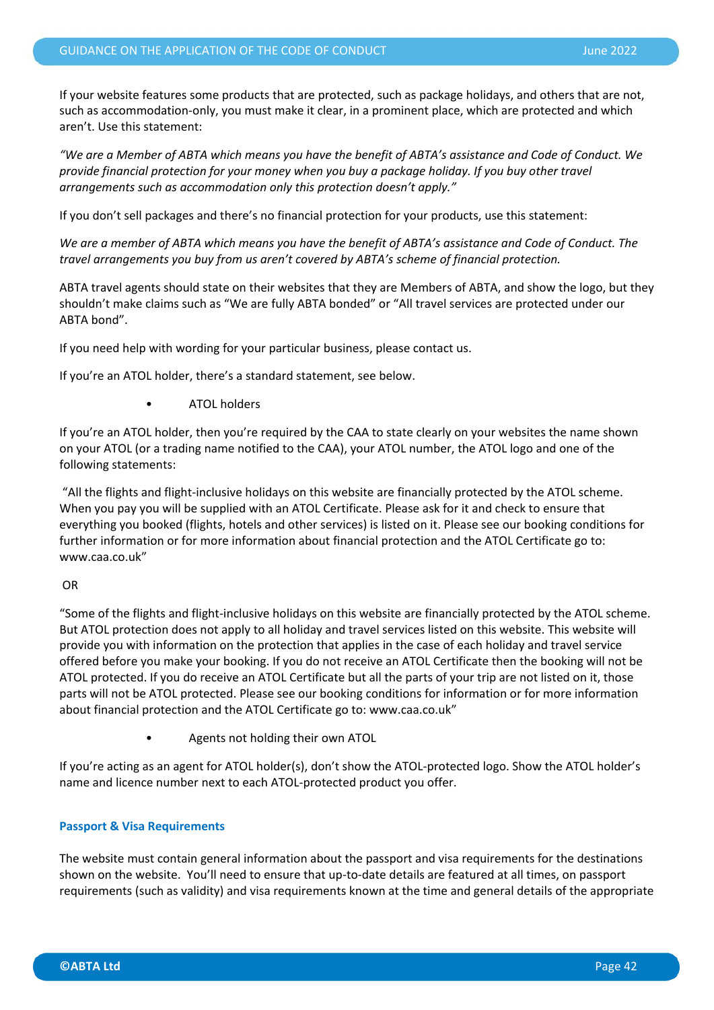If your website features some products that are protected, such as package holidays, and others that are not, such as accommodation-only, you must make it clear, in a prominent place, which are protected and which aren't. Use this statement:

*"We are a Member of ABTA which means you have the benefit of ABTA's assistance and Code of Conduct. We provide financial protection for your money when you buy a package holiday. If you buy other travel arrangements such as accommodation only this protection doesn't apply."*

If you don't sell packages and there's no financial protection for your products, use this statement:

*We are a member of ABTA which means you have the benefit of ABTA's assistance and Code of Conduct. The travel arrangements you buy from us aren't covered by ABTA's scheme of financial protection.* 

ABTA travel agents should state on their websites that they are Members of ABTA, and show the logo, but they shouldn't make claims such as "We are fully ABTA bonded" or "All travel services are protected under our ABTA bond".

If you need help with wording for your particular business, please contact us.

If you're an ATOL holder, there's a standard statement, see below.

• ATOL holders

If you're an ATOL holder, then you're required by the CAA to state clearly on your websites the name shown on your ATOL (or a trading name notified to the CAA), your ATOL number, the ATOL logo and one of the following statements:

"All the flights and flight-inclusive holidays on this website are financially protected by the ATOL scheme. When you pay you will be supplied with an ATOL Certificate. Please ask for it and check to ensure that everything you booked (flights, hotels and other services) is listed on it. Please see our booking conditions for further information or for more information about financial protection and the ATOL Certificate go to: www.caa.co.uk"

#### OR

"Some of the flights and flight-inclusive holidays on this website are financially protected by the ATOL scheme. But ATOL protection does not apply to all holiday and travel services listed on this website. This website will provide you with information on the protection that applies in the case of each holiday and travel service offered before you make your booking. If you do not receive an ATOL Certificate then the booking will not be ATOL protected. If you do receive an ATOL Certificate but all the parts of your trip are not listed on it, those parts will not be ATOL protected. Please see our booking conditions for information or for more information about financial protection and the ATOL Certificate go to: www.caa.co.uk"

• Agents not holding their own ATOL

If you're acting as an agent for ATOL holder(s), don't show the ATOL-protected logo. Show the ATOL holder's name and licence number next to each ATOL-protected product you offer.

#### **Passport & Visa Requirements**

The website must contain general information about the passport and visa requirements for the destinations shown on the website. You'll need to ensure that up-to-date details are featured at all times, on passport requirements (such as validity) and visa requirements known at the time and general details of the appropriate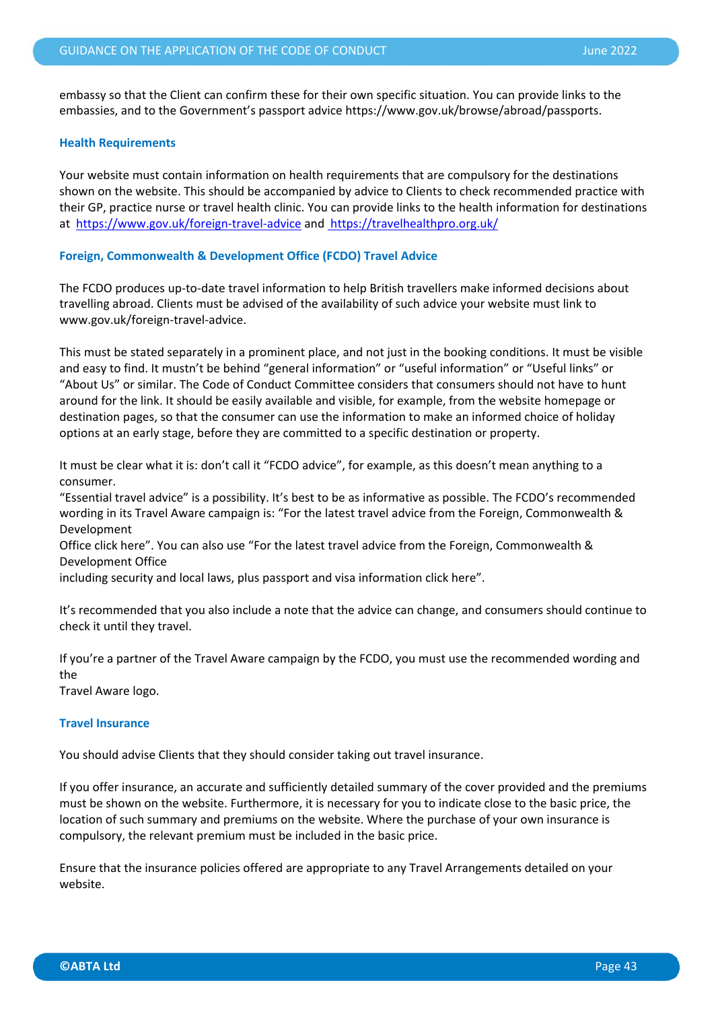embassy so that the Client can confirm these for their own specific situation. You can provide links to the embassies, and to the Government's passport advice https://www.gov.uk/browse/abroad/passports.

#### **Health Requirements**

Your website must contain information on health requirements that are compulsory for the destinations shown on the website. This should be accompanied by advice to Clients to check recommended practice with their GP, practice nurse or travel health clinic. You can provide links to the health information for destinations at<https://www.gov.uk/foreign-travel-advice> and<https://travelhealthpro.org.uk/>

#### **Foreign, Commonwealth & Development Office (FCDO) Travel Advice**

The FCDO produces up-to-date travel information to help British travellers make informed decisions about travelling abroad. Clients must be advised of the availability of such advice your website must link to www.gov.uk/foreign-travel-advice.

This must be stated separately in a prominent place, and not just in the booking conditions. It must be visible and easy to find. It mustn't be behind "general information" or "useful information" or "Useful links" or "About Us" or similar. The Code of Conduct Committee considers that consumers should not have to hunt around for the link. It should be easily available and visible, for example, from the website homepage or destination pages, so that the consumer can use the information to make an informed choice of holiday options at an early stage, before they are committed to a specific destination or property.

It must be clear what it is: don't call it "FCDO advice", for example, as this doesn't mean anything to a consumer.

"Essential travel advice" is a possibility. It's best to be as informative as possible. The FCDO's recommended wording in its Travel Aware campaign is: "For the latest travel advice from the Foreign, Commonwealth & Development

Office click here". You can also use "For the latest travel advice from the Foreign, Commonwealth & Development Office

including security and local laws, plus passport and visa information click here".

It's recommended that you also include a note that the advice can change, and consumers should continue to check it until they travel.

If you're a partner of the Travel Aware campaign by the FCDO, you must use the recommended wording and the

Travel Aware logo.

#### **Travel Insurance**

You should advise Clients that they should consider taking out travel insurance.

If you offer insurance, an accurate and sufficiently detailed summary of the cover provided and the premiums must be shown on the website. Furthermore, it is necessary for you to indicate close to the basic price, the location of such summary and premiums on the website. Where the purchase of your own insurance is compulsory, the relevant premium must be included in the basic price.

Ensure that the insurance policies offered are appropriate to any Travel Arrangements detailed on your website.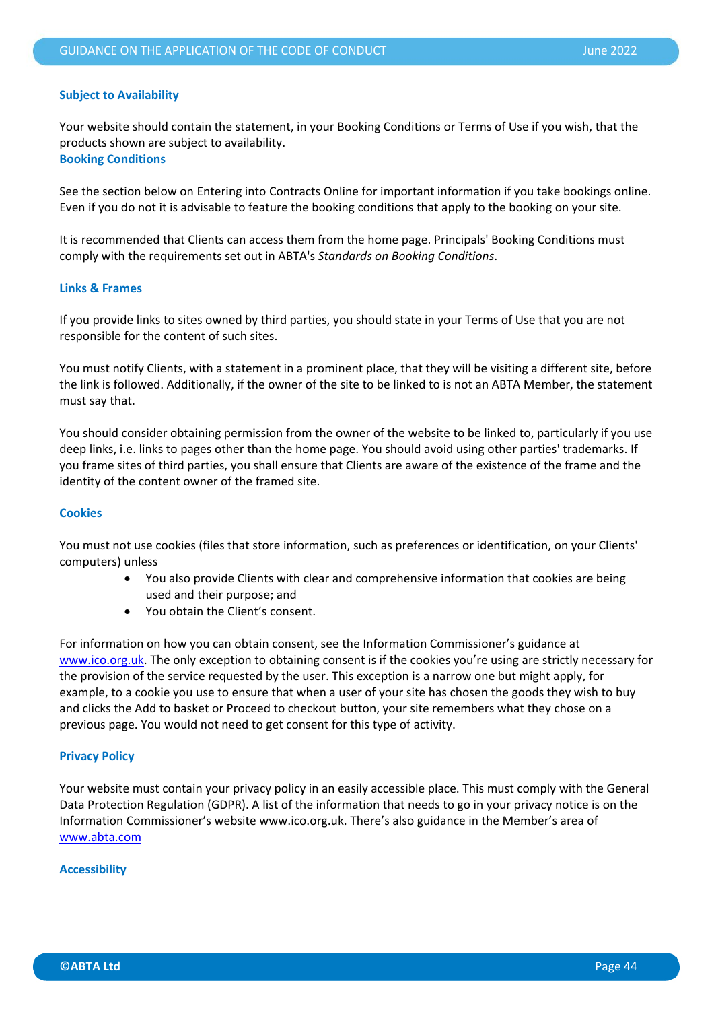#### **Subject to Availability**

Your website should contain the statement, in your Booking Conditions or Terms of Use if you wish, that the products shown are subject to availability. **Booking Conditions**

See the section below on Entering into Contracts Online for important information if you take bookings online. Even if you do not it is advisable to feature the booking conditions that apply to the booking on your site.

It is recommended that Clients can access them from the home page. Principals' Booking Conditions must comply with the requirements set out in ABTA's *Standards on Booking Conditions*.

#### **Links & Frames**

If you provide links to sites owned by third parties, you should state in your Terms of Use that you are not responsible for the content of such sites.

You must notify Clients, with a statement in a prominent place, that they will be visiting a different site, before the link is followed. Additionally, if the owner of the site to be linked to is not an ABTA Member, the statement must say that.

You should consider obtaining permission from the owner of the website to be linked to, particularly if you use deep links, i.e. links to pages other than the home page. You should avoid using other parties' trademarks. If you frame sites of third parties, you shall ensure that Clients are aware of the existence of the frame and the identity of the content owner of the framed site.

#### **Cookies**

You must not use cookies (files that store information, such as preferences or identification, on your Clients' computers) unless

- You also provide Clients with clear and comprehensive information that cookies are being used and their purpose; and
- You obtain the Client's consent.

For information on how you can obtain consent, see the Information Commissioner's guidance at [www.ico.org.uk.](http://www.ico.org.uk/) The only exception to obtaining consent is if the cookies you're using are strictly necessary for the provision of the service requested by the user. This exception is a narrow one but might apply, for example, to a cookie you use to ensure that when a user of your site has chosen the goods they wish to buy and clicks the Add to basket or Proceed to checkout button, your site remembers what they chose on a previous page. You would not need to get consent for this type of activity.

#### **Privacy Policy**

Your website must contain your privacy policy in an easily accessible place. This must comply with the General Data Protection Regulation (GDPR). A list of the information that needs to go in your privacy notice is on the Information Commissioner's website www.ico.org.uk. There's also guidance in the Member's area of [www.abta.com](http://www.abta.com/) 

#### **Accessibility**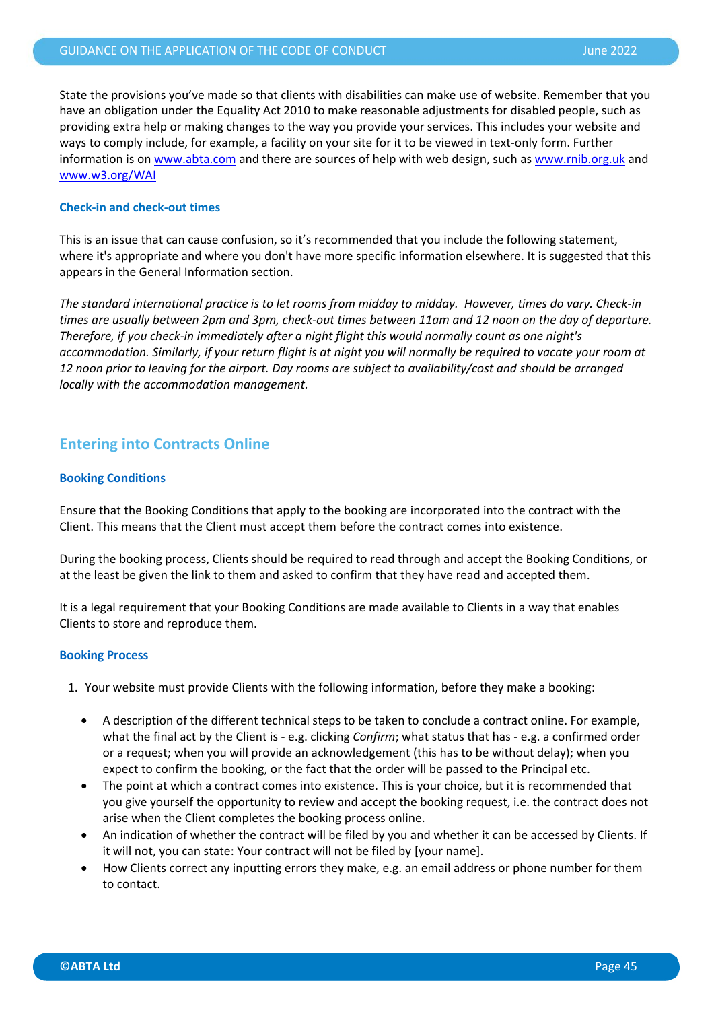State the provisions you've made so that clients with disabilities can make use of website. Remember that you have an obligation under the Equality Act 2010 to make reasonable adjustments for disabled people, such as providing extra help or making changes to the way you provide your services. This includes your website and ways to comply include, for example, a facility on your site for it to be viewed in text-only form. Further information is o[n www.abta.com](http://www.abta.com/) and there are sources of help with web design, such as [www.rnib.org.uk](http://www.rnib.org.uk/) and [www.w3.org/WAI](http://www.w3.org/WAI)

#### **Check-in and check-out times**

This is an issue that can cause confusion, so it's recommended that you include the following statement, where it's appropriate and where you don't have more specific information elsewhere. It is suggested that this appears in the General Information section.

*The standard international practice is to let rooms from midday to midday. However, times do vary. Check-in times are usually between 2pm and 3pm, check-out times between 11am and 12 noon on the day of departure. Therefore, if you check-in immediately after a night flight this would normally count as one night's accommodation. Similarly, if your return flight is at night you will normally be required to vacate your room at 12 noon prior to leaving for the airport. Day rooms are subject to availability/cost and should be arranged locally with the accommodation management.*

#### **Entering into Contracts Online**

#### **Booking Conditions**

Ensure that the Booking Conditions that apply to the booking are incorporated into the contract with the Client. This means that the Client must accept them before the contract comes into existence.

During the booking process, Clients should be required to read through and accept the Booking Conditions, or at the least be given the link to them and asked to confirm that they have read and accepted them.

It is a legal requirement that your Booking Conditions are made available to Clients in a way that enables Clients to store and reproduce them.

#### **Booking Process**

1. Your website must provide Clients with the following information, before they make a booking:

- A description of the different technical steps to be taken to conclude a contract online. For example, what the final act by the Client is - e.g. clicking *Confirm*; what status that has - e.g. a confirmed order or a request; when you will provide an acknowledgement (this has to be without delay); when you expect to confirm the booking, or the fact that the order will be passed to the Principal etc.
- The point at which a contract comes into existence. This is your choice, but it is recommended that you give yourself the opportunity to review and accept the booking request, i.e. the contract does not arise when the Client completes the booking process online.
- An indication of whether the contract will be filed by you and whether it can be accessed by Clients. If it will not, you can state: Your contract will not be filed by [your name].
- How Clients correct any inputting errors they make, e.g. an email address or phone number for them to contact.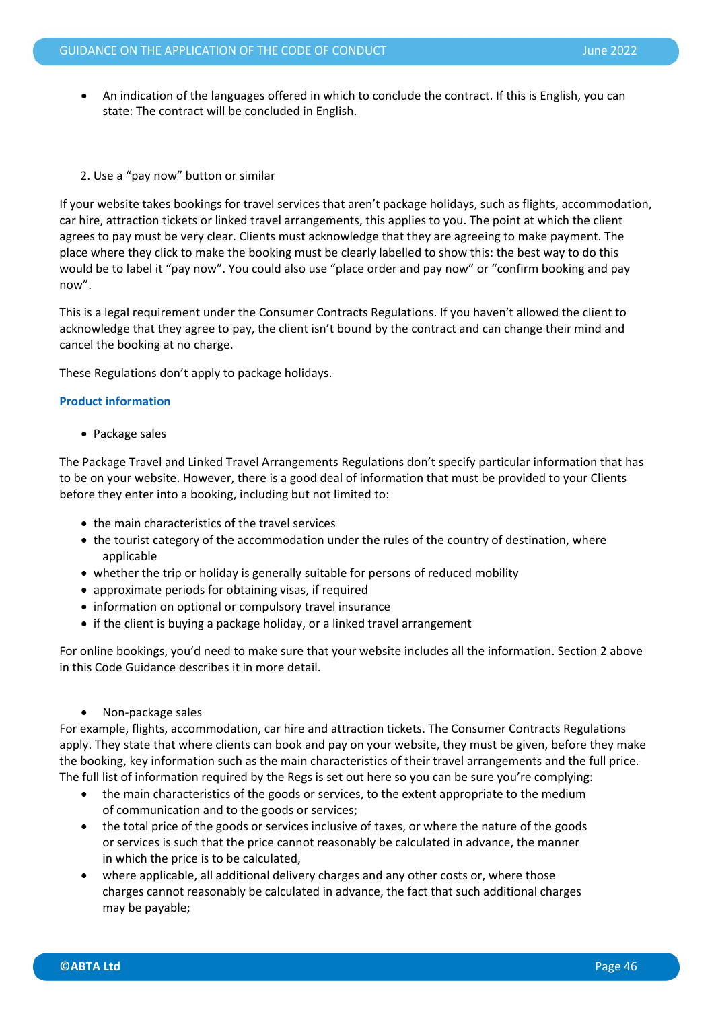- An indication of the languages offered in which to conclude the contract. If this is English, you can state: The contract will be concluded in English.
- 2. Use a "pay now" button or similar

If your website takes bookings for travel services that aren't package holidays, such as flights, accommodation, car hire, attraction tickets or linked travel arrangements, this applies to you. The point at which the client agrees to pay must be very clear. Clients must acknowledge that they are agreeing to make payment. The place where they click to make the booking must be clearly labelled to show this: the best way to do this would be to label it "pay now". You could also use "place order and pay now" or "confirm booking and pay now".

This is a legal requirement under the Consumer Contracts Regulations. If you haven't allowed the client to acknowledge that they agree to pay, the client isn't bound by the contract and can change their mind and cancel the booking at no charge.

These Regulations don't apply to package holidays.

#### **Product information**

• Package sales

The Package Travel and Linked Travel Arrangements Regulations don't specify particular information that has to be on your website. However, there is a good deal of information that must be provided to your Clients before they enter into a booking, including but not limited to:

- the main characteristics of the travel services
- the tourist category of the accommodation under the rules of the country of destination, where applicable
- whether the trip or holiday is generally suitable for persons of reduced mobility
- approximate periods for obtaining visas, if required
- information on optional or compulsory travel insurance
- if the client is buying a package holiday, or a linked travel arrangement

For online bookings, you'd need to make sure that your website includes all the information. Section 2 above in this Code Guidance describes it in more detail.

• Non-package sales

For example, flights, accommodation, car hire and attraction tickets. The Consumer Contracts Regulations apply. They state that where clients can book and pay on your website, they must be given, before they make the booking, key information such as the main characteristics of their travel arrangements and the full price. The full list of information required by the Regs is set out here so you can be sure you're complying:

- the main characteristics of the goods or services, to the extent appropriate to the medium of communication and to the goods or services;
- the total price of the goods or services inclusive of taxes, or where the nature of the goods or services is such that the price cannot reasonably be calculated in advance, the manner in which the price is to be calculated,
- where applicable, all additional delivery charges and any other costs or, where those charges cannot reasonably be calculated in advance, the fact that such additional charges may be payable;